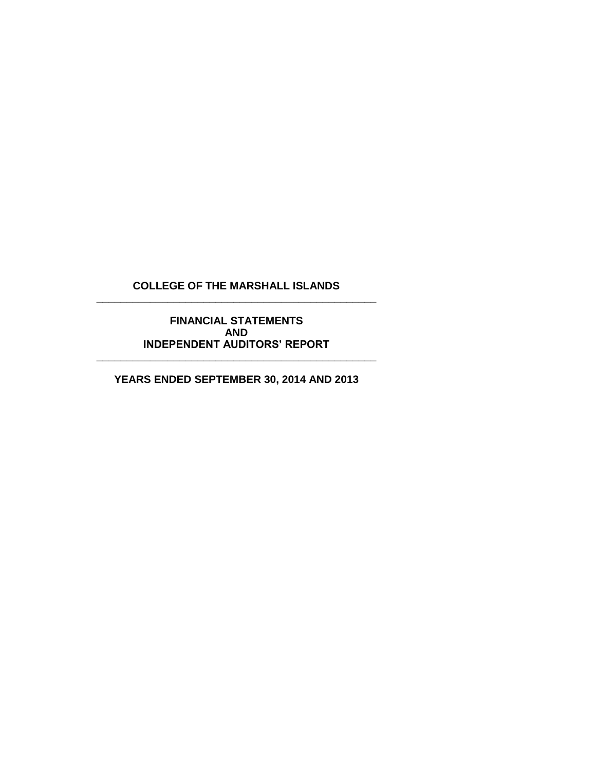**COLLEGE OF THE MARSHALL ISLANDS \_\_\_\_\_\_\_\_\_\_\_\_\_\_\_\_\_\_\_\_\_\_\_\_\_\_\_\_\_\_\_\_\_\_\_\_\_\_\_\_\_\_\_\_\_\_\_**

> **FINANCIAL STATEMENTS AND INDEPENDENT AUDITORS' REPORT**

**\_\_\_\_\_\_\_\_\_\_\_\_\_\_\_\_\_\_\_\_\_\_\_\_\_\_\_\_\_\_\_\_\_\_\_\_\_\_\_\_\_\_\_\_\_\_\_**

**YEARS ENDED SEPTEMBER 30, 2014 AND 2013**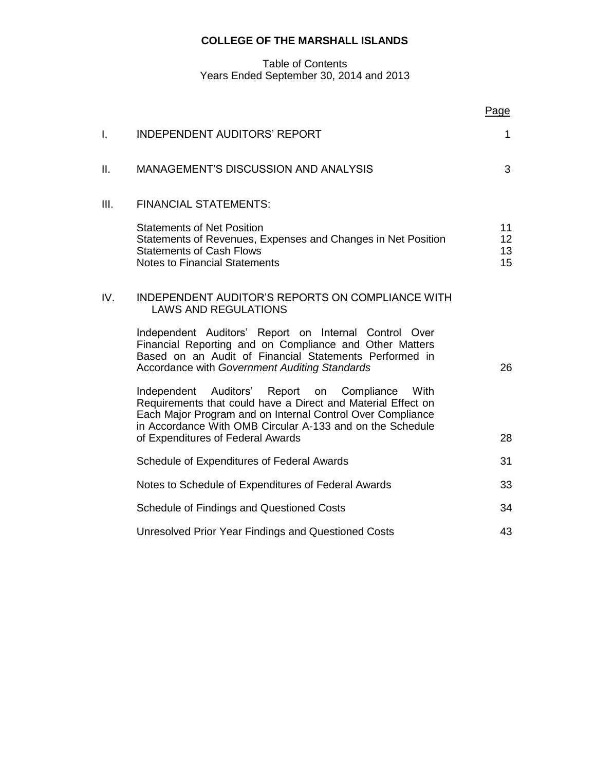# Table of Contents Years Ended September 30, 2014 and 2013

|      |                                                                                                                                                                                                                                                                                       | Page                              |
|------|---------------------------------------------------------------------------------------------------------------------------------------------------------------------------------------------------------------------------------------------------------------------------------------|-----------------------------------|
| I.   | <b>INDEPENDENT AUDITORS' REPORT</b>                                                                                                                                                                                                                                                   | 1                                 |
| II.  | <b>MANAGEMENT'S DISCUSSION AND ANALYSIS</b>                                                                                                                                                                                                                                           | 3                                 |
| III. | <b>FINANCIAL STATEMENTS:</b>                                                                                                                                                                                                                                                          |                                   |
|      | <b>Statements of Net Position</b><br>Statements of Revenues, Expenses and Changes in Net Position<br><b>Statements of Cash Flows</b><br><b>Notes to Financial Statements</b>                                                                                                          | 11<br>12 <sup>2</sup><br>13<br>15 |
| IV.  | INDEPENDENT AUDITOR'S REPORTS ON COMPLIANCE WITH<br><b>LAWS AND REGULATIONS</b>                                                                                                                                                                                                       |                                   |
|      | Independent Auditors' Report on Internal Control Over<br>Financial Reporting and on Compliance and Other Matters<br>Based on an Audit of Financial Statements Performed in<br>Accordance with Government Auditing Standards                                                           | 26                                |
|      | Independent Auditors' Report on<br>Compliance<br>With<br>Requirements that could have a Direct and Material Effect on<br>Each Major Program and on Internal Control Over Compliance<br>in Accordance With OMB Circular A-133 and on the Schedule<br>of Expenditures of Federal Awards | 28                                |
|      | Schedule of Expenditures of Federal Awards                                                                                                                                                                                                                                            | 31                                |
|      | Notes to Schedule of Expenditures of Federal Awards                                                                                                                                                                                                                                   | 33                                |
|      | Schedule of Findings and Questioned Costs                                                                                                                                                                                                                                             | 34                                |
|      | Unresolved Prior Year Findings and Questioned Costs                                                                                                                                                                                                                                   | 43                                |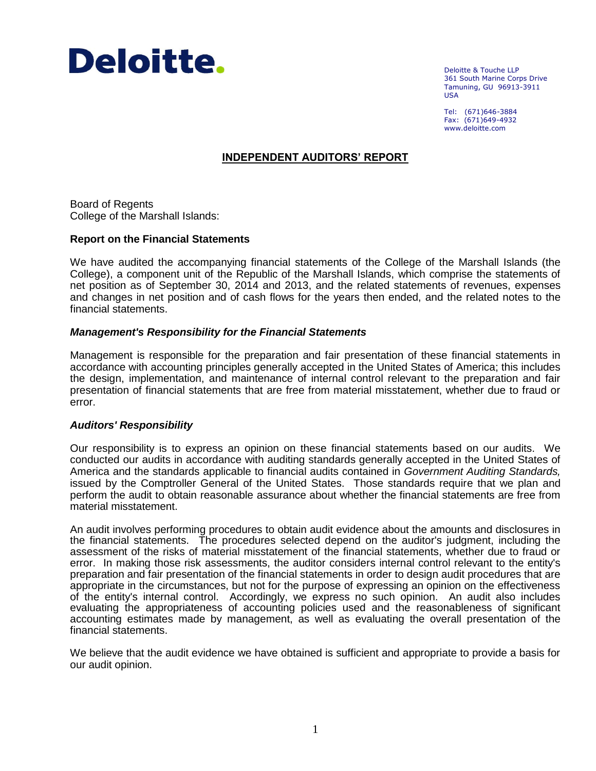

Deloitte & Touche LLP 361 South Marine Corps Drive Tamuning, GU 96913-3911 USA

Tel: (671)646-3884 Fax: (671)649-4932 www.deloitte.com

# **INDEPENDENT AUDITORS' REPORT**

Board of Regents College of the Marshall Islands:

### **Report on the Financial Statements**

We have audited the accompanying financial statements of the College of the Marshall Islands (the College), a component unit of the Republic of the Marshall Islands, which comprise the statements of net position as of September 30, 2014 and 2013, and the related statements of revenues, expenses and changes in net position and of cash flows for the years then ended, and the related notes to the financial statements.

### *Management's Responsibility for the Financial Statements*

Management is responsible for the preparation and fair presentation of these financial statements in accordance with accounting principles generally accepted in the United States of America; this includes the design, implementation, and maintenance of internal control relevant to the preparation and fair presentation of financial statements that are free from material misstatement, whether due to fraud or error.

#### *Auditors' Responsibility*

Our responsibility is to express an opinion on these financial statements based on our audits. We conducted our audits in accordance with auditing standards generally accepted in the United States of America and the standards applicable to financial audits contained in *Government Auditing Standards,*  issued by the Comptroller General of the United States. Those standards require that we plan and perform the audit to obtain reasonable assurance about whether the financial statements are free from material misstatement.

An audit involves performing procedures to obtain audit evidence about the amounts and disclosures in the financial statements. The procedures selected depend on the auditor's judgment, including the assessment of the risks of material misstatement of the financial statements, whether due to fraud or error. In making those risk assessments, the auditor considers internal control relevant to the entity's preparation and fair presentation of the financial statements in order to design audit procedures that are appropriate in the circumstances, but not for the purpose of expressing an opinion on the effectiveness of the entity's internal control. Accordingly, we express no such opinion. An audit also includes evaluating the appropriateness of accounting policies used and the reasonableness of significant accounting estimates made by management, as well as evaluating the overall presentation of the financial statements.

We believe that the audit evidence we have obtained is sufficient and appropriate to provide a basis for our audit opinion.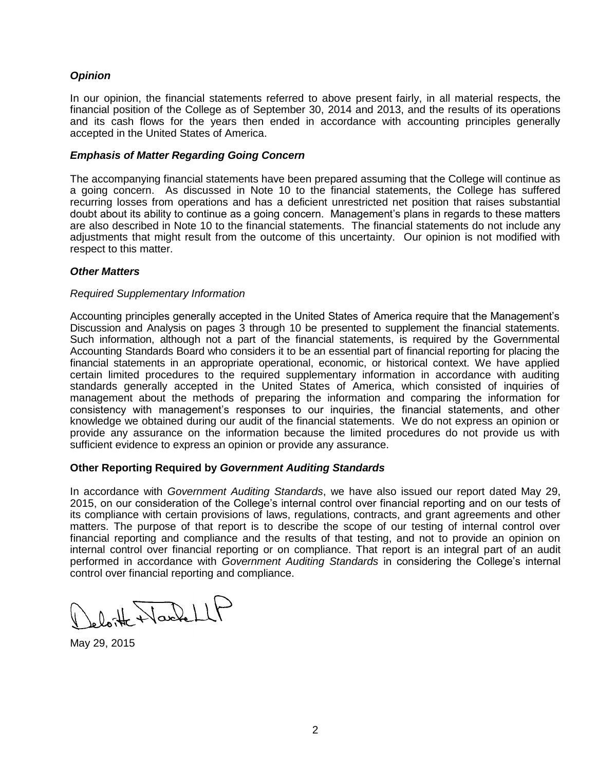# *Opinion*

In our opinion, the financial statements referred to above present fairly, in all material respects, the financial position of the College as of September 30, 2014 and 2013, and the results of its operations and its cash flows for the years then ended in accordance with accounting principles generally accepted in the United States of America.

# *Emphasis of Matter Regarding Going Concern*

The accompanying financial statements have been prepared assuming that the College will continue as a going concern. As discussed in Note 10 to the financial statements, the College has suffered recurring losses from operations and has a deficient unrestricted net position that raises substantial doubt about its ability to continue as a going concern. Management's plans in regards to these matters are also described in Note 10 to the financial statements. The financial statements do not include any adjustments that might result from the outcome of this uncertainty. Our opinion is not modified with respect to this matter.

# *Other Matters*

### *Required Supplementary Information*

Accounting principles generally accepted in the United States of America require that the Management's Discussion and Analysis on pages 3 through 10 be presented to supplement the financial statements. Such information, although not a part of the financial statements, is required by the Governmental Accounting Standards Board who considers it to be an essential part of financial reporting for placing the financial statements in an appropriate operational, economic, or historical context. We have applied certain limited procedures to the required supplementary information in accordance with auditing standards generally accepted in the United States of America, which consisted of inquiries of management about the methods of preparing the information and comparing the information for consistency with management's responses to our inquiries, the financial statements, and other knowledge we obtained during our audit of the financial statements. We do not express an opinion or provide any assurance on the information because the limited procedures do not provide us with sufficient evidence to express an opinion or provide any assurance.

### **Other Reporting Required by** *Government Auditing Standards*

In accordance with *Government Auditing Standards*, we have also issued our report dated May 29, 2015, on our consideration of the College's internal control over financial reporting and on our tests of its compliance with certain provisions of laws, regulations, contracts, and grant agreements and other matters. The purpose of that report is to describe the scope of our testing of internal control over financial reporting and compliance and the results of that testing, and not to provide an opinion on internal control over financial reporting or on compliance. That report is an integral part of an audit performed in accordance with *Government Auditing Standards* in considering the College's internal control over financial reporting and compliance.

eloite Nachell

May 29, 2015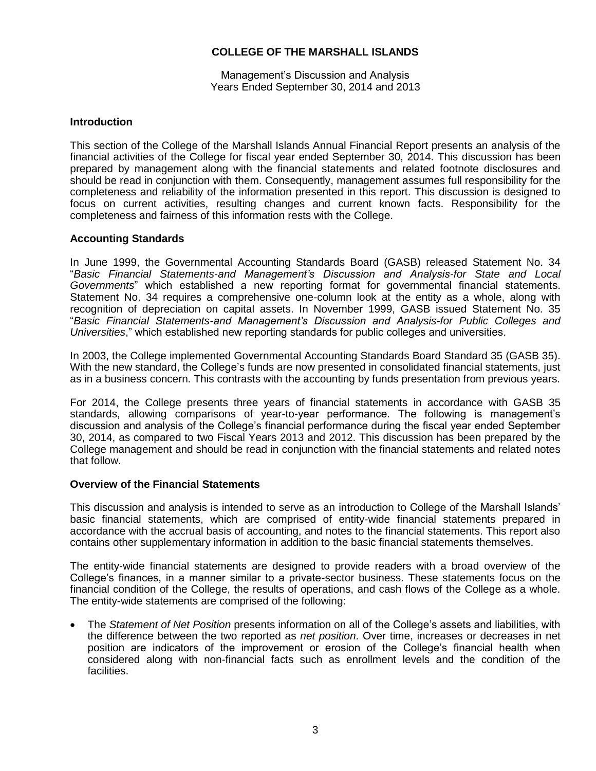Management's Discussion and Analysis Years Ended September 30, 2014 and 2013

# **Introduction**

This section of the College of the Marshall Islands Annual Financial Report presents an analysis of the financial activities of the College for fiscal year ended September 30, 2014. This discussion has been prepared by management along with the financial statements and related footnote disclosures and should be read in conjunction with them. Consequently, management assumes full responsibility for the completeness and reliability of the information presented in this report. This discussion is designed to focus on current activities, resulting changes and current known facts. Responsibility for the completeness and fairness of this information rests with the College.

# **Accounting Standards**

In June 1999, the Governmental Accounting Standards Board (GASB) released Statement No. 34 "*Basic Financial Statements-and Management's Discussion and Analysis-for State and Local Governments*" which established a new reporting format for governmental financial statements. Statement No. 34 requires a comprehensive one-column look at the entity as a whole, along with recognition of depreciation on capital assets. In November 1999, GASB issued Statement No. 35 "*Basic Financial Statements-and Management's Discussion and Analysis-for Public Colleges and Universities*," which established new reporting standards for public colleges and universities.

In 2003, the College implemented Governmental Accounting Standards Board Standard 35 (GASB 35). With the new standard, the College's funds are now presented in consolidated financial statements, just as in a business concern. This contrasts with the accounting by funds presentation from previous years.

For 2014, the College presents three years of financial statements in accordance with GASB 35 standards, allowing comparisons of year-to-year performance. The following is management's discussion and analysis of the College's financial performance during the fiscal year ended September 30, 2014, as compared to two Fiscal Years 2013 and 2012. This discussion has been prepared by the College management and should be read in conjunction with the financial statements and related notes that follow.

### **Overview of the Financial Statements**

This discussion and analysis is intended to serve as an introduction to College of the Marshall Islands' basic financial statements, which are comprised of entity-wide financial statements prepared in accordance with the accrual basis of accounting, and notes to the financial statements. This report also contains other supplementary information in addition to the basic financial statements themselves.

The entity-wide financial statements are designed to provide readers with a broad overview of the College's finances, in a manner similar to a private-sector business. These statements focus on the financial condition of the College, the results of operations, and cash flows of the College as a whole. The entity-wide statements are comprised of the following:

 The *Statement of Net Position* presents information on all of the College's assets and liabilities, with the difference between the two reported as *net position*. Over time, increases or decreases in net position are indicators of the improvement or erosion of the College's financial health when considered along with non-financial facts such as enrollment levels and the condition of the facilities.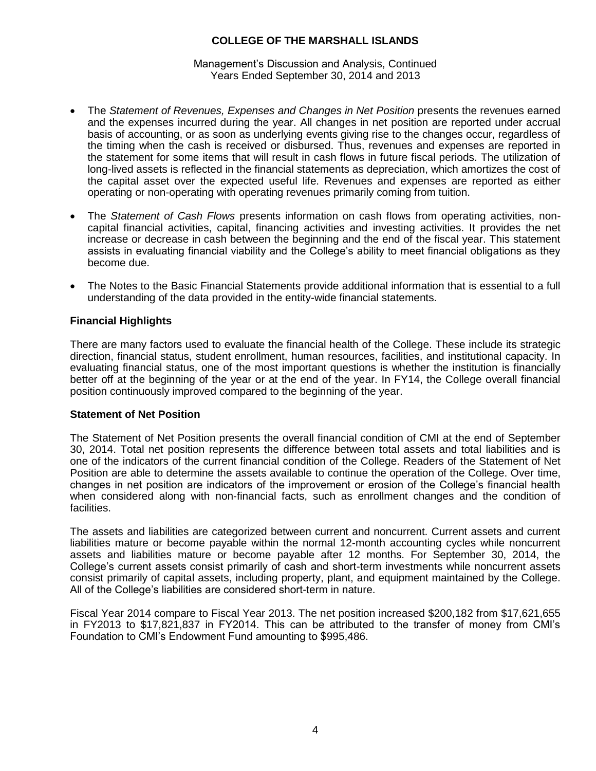### Management's Discussion and Analysis, Continued Years Ended September 30, 2014 and 2013

- The *Statement of Revenues, Expenses and Changes in Net Position* presents the revenues earned and the expenses incurred during the year. All changes in net position are reported under accrual basis of accounting, or as soon as underlying events giving rise to the changes occur, regardless of the timing when the cash is received or disbursed. Thus, revenues and expenses are reported in the statement for some items that will result in cash flows in future fiscal periods. The utilization of long-lived assets is reflected in the financial statements as depreciation, which amortizes the cost of the capital asset over the expected useful life. Revenues and expenses are reported as either operating or non-operating with operating revenues primarily coming from tuition.
- The *Statement of Cash Flows* presents information on cash flows from operating activities, noncapital financial activities, capital, financing activities and investing activities. It provides the net increase or decrease in cash between the beginning and the end of the fiscal year. This statement assists in evaluating financial viability and the College's ability to meet financial obligations as they become due.
- The Notes to the Basic Financial Statements provide additional information that is essential to a full understanding of the data provided in the entity-wide financial statements.

# **Financial Highlights**

There are many factors used to evaluate the financial health of the College. These include its strategic direction, financial status, student enrollment, human resources, facilities, and institutional capacity. In evaluating financial status, one of the most important questions is whether the institution is financially better off at the beginning of the year or at the end of the year. In FY14, the College overall financial position continuously improved compared to the beginning of the year.

### **Statement of Net Position**

The Statement of Net Position presents the overall financial condition of CMI at the end of September 30, 2014. Total net position represents the difference between total assets and total liabilities and is one of the indicators of the current financial condition of the College. Readers of the Statement of Net Position are able to determine the assets available to continue the operation of the College. Over time, changes in net position are indicators of the improvement or erosion of the College's financial health when considered along with non-financial facts, such as enrollment changes and the condition of facilities.

The assets and liabilities are categorized between current and noncurrent. Current assets and current liabilities mature or become payable within the normal 12-month accounting cycles while noncurrent assets and liabilities mature or become payable after 12 months. For September 30, 2014, the College's current assets consist primarily of cash and short-term investments while noncurrent assets consist primarily of capital assets, including property, plant, and equipment maintained by the College. All of the College's liabilities are considered short-term in nature.

Fiscal Year 2014 compare to Fiscal Year 2013. The net position increased \$200,182 from \$17,621,655 in FY2013 to \$17,821,837 in FY2014. This can be attributed to the transfer of money from CMI's Foundation to CMI's Endowment Fund amounting to \$995,486.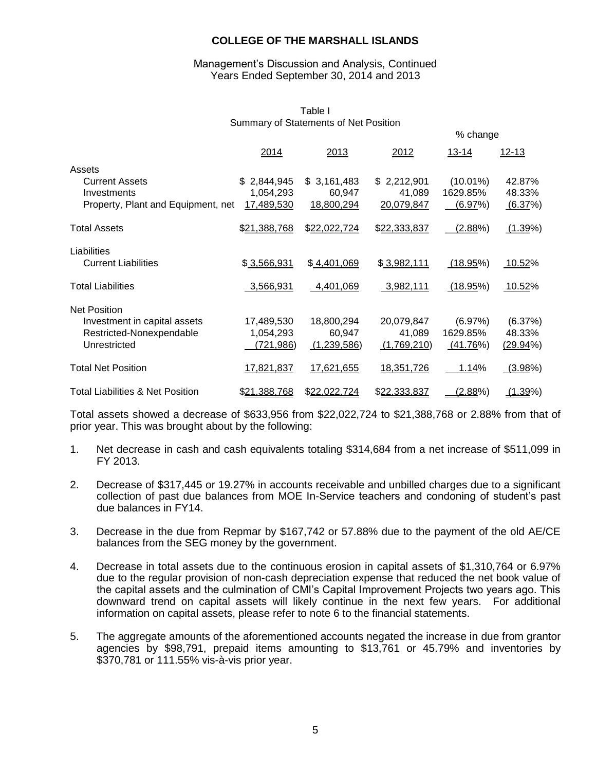Management's Discussion and Analysis, Continued Years Ended September 30, 2014 and 2013

| Table I                               |
|---------------------------------------|
| Summary of Statements of Net Position |

% change

|                                    | 2014             | 2013                | 2012         | $13 - 14$      | <u> 12-13 </u>  |
|------------------------------------|------------------|---------------------|--------------|----------------|-----------------|
| Assets                             |                  |                     |              |                |                 |
| <b>Current Assets</b>              | \$2,844,945      | \$3,161,483         | \$2,212,901  | $(10.01\%)$    | 42.87%          |
| Investments                        | 1,054,293        | 60,947              | 41,089       | 1629.85%       | 48.33%          |
| Property, Plant and Equipment, net | 17,489,530       | 18,800,294          | 20,079,847   | (6.97%)        | (6.37%)         |
| <b>Total Assets</b>                | \$21,388,768     | \$22,022,724        | \$22,333,837 | $(2.88\%)$     | <u>(1.39</u> %) |
| Liabilities                        |                  |                     |              |                |                 |
| <b>Current Liabilities</b>         | \$3,566,931      | \$4,401,069         | \$3,982,111  | (18.95%)       | 10.52%          |
| Total Liabilities                  | 3,566,931        | 4,401,069           | 3,982,111    | (18.95%)       | 10.52%          |
| <b>Net Position</b>                |                  |                     |              |                |                 |
| Investment in capital assets       | 17,489,530       | 18,800,294          | 20,079,847   | (6.97%)        | (6.37%)         |
| Restricted-Nonexpendable           | 1,054,293        | 60,947              | 41,089       | 1629.85%       | 48.33%          |
| Unrestricted                       | <u>(721,986)</u> | (1,239,586)         | (1,769,210)  | (41.76%)       | (29.94%)        |
| <b>Total Net Position</b>          | 17,821,837       | 17,621,655          | 18,351,726   | 1.14%          | $(3.98\%)$      |
| Total Liabilities & Net Position   | \$21,388,768     | <u>\$22,022,724</u> | \$22,333,837 | <u>(2.88%)</u> | $(1.39\%)$      |

Total assets showed a decrease of \$633,956 from \$22,022,724 to \$21,388,768 or 2.88% from that of prior year. This was brought about by the following:

- 1. Net decrease in cash and cash equivalents totaling \$314,684 from a net increase of \$511,099 in FY 2013.
- 2. Decrease of \$317,445 or 19.27% in accounts receivable and unbilled charges due to a significant collection of past due balances from MOE In-Service teachers and condoning of student's past due balances in FY14.
- 3. Decrease in the due from Repmar by \$167,742 or 57.88% due to the payment of the old AE/CE balances from the SEG money by the government.
- 4. Decrease in total assets due to the continuous erosion in capital assets of \$1,310,764 or 6.97% due to the regular provision of non-cash depreciation expense that reduced the net book value of the capital assets and the culmination of CMI's Capital Improvement Projects two years ago. This downward trend on capital assets will likely continue in the next few years. For additional information on capital assets, please refer to note 6 to the financial statements.
- 5. The aggregate amounts of the aforementioned accounts negated the increase in due from grantor agencies by \$98,791, prepaid items amounting to \$13,761 or 45.79% and inventories by \$370,781 or 111.55% vis-à-vis prior year.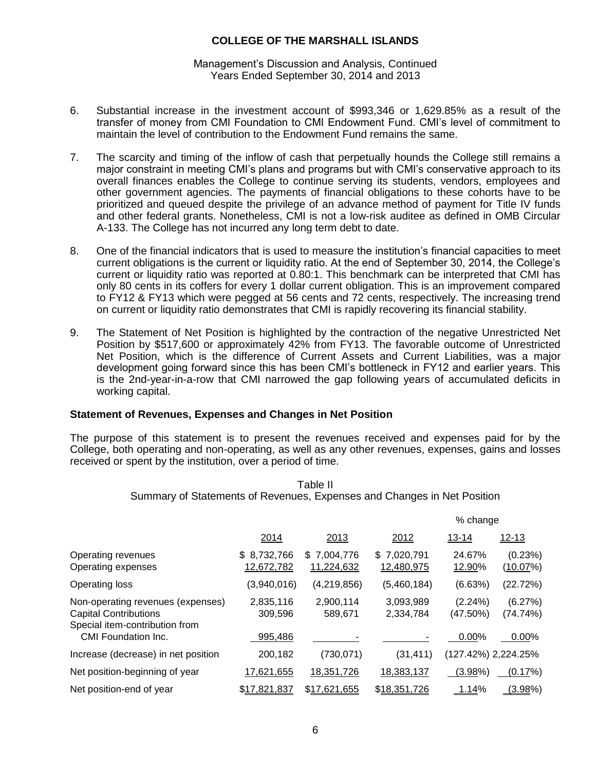Management's Discussion and Analysis, Continued Years Ended September 30, 2014 and 2013

- 6. Substantial increase in the investment account of \$993,346 or 1,629.85% as a result of the transfer of money from CMI Foundation to CMI Endowment Fund. CMI's level of commitment to maintain the level of contribution to the Endowment Fund remains the same.
- 7. The scarcity and timing of the inflow of cash that perpetually hounds the College still remains a major constraint in meeting CMI's plans and programs but with CMI's conservative approach to its overall finances enables the College to continue serving its students, vendors, employees and other government agencies. The payments of financial obligations to these cohorts have to be prioritized and queued despite the privilege of an advance method of payment for Title IV funds and other federal grants. Nonetheless, CMI is not a low-risk auditee as defined in OMB Circular A-133. The College has not incurred any long term debt to date.
- 8. One of the financial indicators that is used to measure the institution's financial capacities to meet current obligations is the current or liquidity ratio. At the end of September 30, 2014, the College's current or liquidity ratio was reported at 0.80:1. This benchmark can be interpreted that CMI has only 80 cents in its coffers for every 1 dollar current obligation. This is an improvement compared to FY12 & FY13 which were pegged at 56 cents and 72 cents, respectively. The increasing trend on current or liquidity ratio demonstrates that CMI is rapidly recovering its financial stability.
- 9. The Statement of Net Position is highlighted by the contraction of the negative Unrestricted Net Position by \$517,600 or approximately 42% from FY13. The favorable outcome of Unrestricted Net Position, which is the difference of Current Assets and Current Liabilities, was a major development going forward since this has been CMI's bottleneck in FY12 and earlier years. This is the 2nd-year-in-a-row that CMI narrowed the gap following years of accumulated deficits in working capital.

### **Statement of Revenues, Expenses and Changes in Net Position**

The purpose of this statement is to present the revenues received and expenses paid for by the College, both operating and non-operating, as well as any other revenues, expenses, gains and losses received or spent by the institution, over a period of time.

| Table II.                                                               |
|-------------------------------------------------------------------------|
| Summary of Statements of Revenues, Expenses and Changes in Net Position |
|                                                                         |
| $0/$ chonge                                                             |

|                                                                                                     |                           |                           |                           | $\frac{1}{2}$ original |                     |
|-----------------------------------------------------------------------------------------------------|---------------------------|---------------------------|---------------------------|------------------------|---------------------|
|                                                                                                     | 2014                      | 2013                      | 2012                      | $13 - 14$              | $12 - 13$           |
| Operating revenues<br>Operating expenses                                                            | \$8,732,766<br>12,672,782 | \$7,004,776<br>11,224,632 | \$7,020,791<br>12,480,975 | 24.67%<br>12.90%       | (0.23%)<br>(10.07%) |
| Operating loss                                                                                      | (3,940,016)               | (4,219,856)               | (5,460,184)               | (6.63%)                | (22.72%)            |
| Non-operating revenues (expenses)<br><b>Capital Contributions</b><br>Special item-contribution from | 2,835,116<br>309,596      | 2,900,114<br>589,671      | 3,093,989<br>2,334,784    | (2.24%)<br>(47.50%)    | (6.27%)<br>(74.74%) |
| <b>CMI Foundation Inc.</b>                                                                          | 995,486                   |                           |                           | 0.00%                  | $0.00\%$            |
| Increase (decrease) in net position                                                                 | 200,182                   | (730, 071)                | (31, 411)                 | (127.42%) 2,224.25%    |                     |
| Net position-beginning of year                                                                      | 17,621,655                | 18,351,726                | 18,383,137                | (3.98%)                | (0.17%)             |
| Net position-end of year                                                                            | \$17,821,837              | \$17,621,655              | \$18,351,726              | 1.14%                  | $(3.98\%)$          |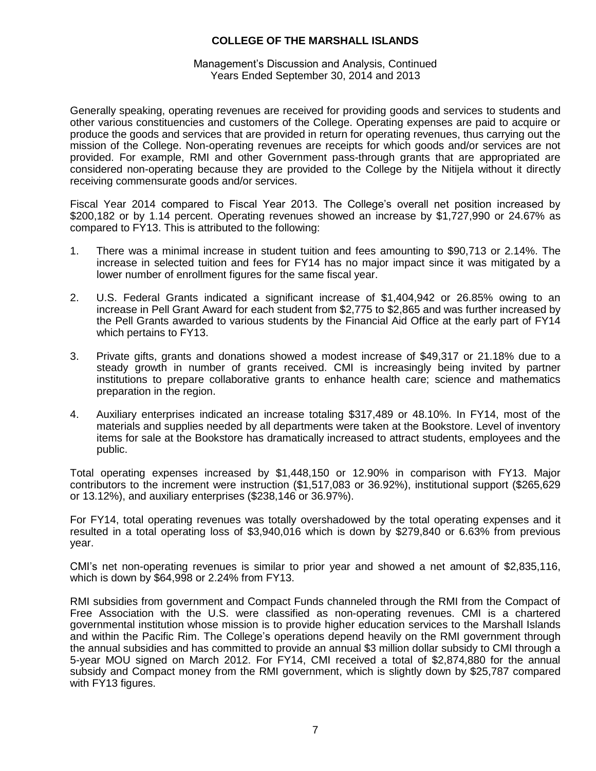### Management's Discussion and Analysis, Continued Years Ended September 30, 2014 and 2013

Generally speaking, operating revenues are received for providing goods and services to students and other various constituencies and customers of the College. Operating expenses are paid to acquire or produce the goods and services that are provided in return for operating revenues, thus carrying out the mission of the College. Non-operating revenues are receipts for which goods and/or services are not provided. For example, RMI and other Government pass-through grants that are appropriated are considered non-operating because they are provided to the College by the Nitijela without it directly receiving commensurate goods and/or services.

Fiscal Year 2014 compared to Fiscal Year 2013. The College's overall net position increased by \$200,182 or by 1.14 percent. Operating revenues showed an increase by \$1,727,990 or 24.67% as compared to FY13. This is attributed to the following:

- 1. There was a minimal increase in student tuition and fees amounting to \$90,713 or 2.14%. The increase in selected tuition and fees for FY14 has no major impact since it was mitigated by a lower number of enrollment figures for the same fiscal year.
- 2. U.S. Federal Grants indicated a significant increase of \$1,404,942 or 26.85% owing to an increase in Pell Grant Award for each student from \$2,775 to \$2,865 and was further increased by the Pell Grants awarded to various students by the Financial Aid Office at the early part of FY14 which pertains to FY13.
- 3. Private gifts, grants and donations showed a modest increase of \$49,317 or 21.18% due to a steady growth in number of grants received. CMI is increasingly being invited by partner institutions to prepare collaborative grants to enhance health care; science and mathematics preparation in the region.
- 4. Auxiliary enterprises indicated an increase totaling \$317,489 or 48.10%. In FY14, most of the materials and supplies needed by all departments were taken at the Bookstore. Level of inventory items for sale at the Bookstore has dramatically increased to attract students, employees and the public.

Total operating expenses increased by \$1,448,150 or 12.90% in comparison with FY13. Major contributors to the increment were instruction (\$1,517,083 or 36.92%), institutional support (\$265,629 or 13.12%), and auxiliary enterprises (\$238,146 or 36.97%).

For FY14, total operating revenues was totally overshadowed by the total operating expenses and it resulted in a total operating loss of \$3,940,016 which is down by \$279,840 or 6.63% from previous year.

CMI's net non-operating revenues is similar to prior year and showed a net amount of \$2,835,116, which is down by \$64,998 or 2.24% from FY13.

RMI subsidies from government and Compact Funds channeled through the RMI from the Compact of Free Association with the U.S. were classified as non-operating revenues. CMI is a chartered governmental institution whose mission is to provide higher education services to the Marshall Islands and within the Pacific Rim. The College's operations depend heavily on the RMI government through the annual subsidies and has committed to provide an annual \$3 million dollar subsidy to CMI through a 5-year MOU signed on March 2012. For FY14, CMI received a total of \$2,874,880 for the annual subsidy and Compact money from the RMI government, which is slightly down by \$25,787 compared with FY13 figures.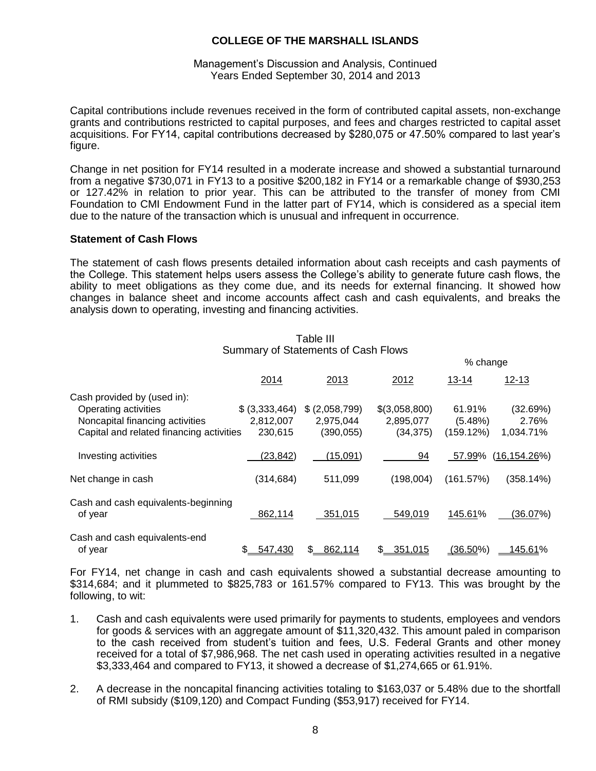Management's Discussion and Analysis, Continued Years Ended September 30, 2014 and 2013

Capital contributions include revenues received in the form of contributed capital assets, non-exchange grants and contributions restricted to capital purposes, and fees and charges restricted to capital asset acquisitions. For FY14, capital contributions decreased by \$280,075 or 47.50% compared to last year's figure.

Change in net position for FY14 resulted in a moderate increase and showed a substantial turnaround from a negative \$730,071 in FY13 to a positive \$200,182 in FY14 or a remarkable change of \$930,253 or 127.42% in relation to prior year. This can be attributed to the transfer of money from CMI Foundation to CMI Endowment Fund in the latter part of FY14, which is considered as a special item due to the nature of the transaction which is unusual and infrequent in occurrence.

### **Statement of Cash Flows**

The statement of cash flows presents detailed information about cash receipts and cash payments of the College. This statement helps users assess the College's ability to generate future cash flows, the ability to meet obligations as they come due, and its needs for external financing. It showed how changes in balance sheet and income accounts affect cash and cash equivalents, and breaks the analysis down to operating, investing and financing activities.

|                                                |                |                |               | 70 GHange   |               |
|------------------------------------------------|----------------|----------------|---------------|-------------|---------------|
|                                                | 2014           | 2013           | 2012          | $13 - 14$   | $12 - 13$     |
| Cash provided by (used in):                    |                |                |               |             |               |
| Operating activities                           | \$ (3,333,464) | \$ (2,058,799) | \$(3,058,800) | 61.91%      | (32.69%)      |
| Noncapital financing activities                | 2,812,007      | 2,975,044      | 2,895,077     | (5.48%)     | 2.76%         |
| Capital and related financing activities       | 230,615        | (390, 055)     | (34, 375)     | (159.12%)   | 1,034.71%     |
| Investing activities                           | (23, 842)      | (15,091)       | 94            | 57.99%      | (16, 154.26%) |
| Net change in cash                             | (314, 684)     | 511,099        | (198,004)     | (161.57%)   | (358.14%)     |
| Cash and cash equivalents-beginning<br>of year | 862,114        | 351,015        | 549,019       | 145.61%     | (36.07%)      |
| Cash and cash equivalents-end<br>of year       | 547,430<br>S.  | 862,114        | 351,015<br>\$ | $(36.50\%)$ | 145.61%       |

### Table III Summary of Statements of Cash Flows

 $0/$  change

For FY14, net change in cash and cash equivalents showed a substantial decrease amounting to \$314,684; and it plummeted to \$825,783 or 161.57% compared to FY13. This was brought by the following, to wit:

- 1. Cash and cash equivalents were used primarily for payments to students, employees and vendors for goods & services with an aggregate amount of \$11,320,432. This amount paled in comparison to the cash received from student's tuition and fees, U.S. Federal Grants and other money received for a total of \$7,986,968. The net cash used in operating activities resulted in a negative \$3,333,464 and compared to FY13, it showed a decrease of \$1,274,665 or 61.91%.
- 2. A decrease in the noncapital financing activities totaling to \$163,037 or 5.48% due to the shortfall of RMI subsidy (\$109,120) and Compact Funding (\$53,917) received for FY14.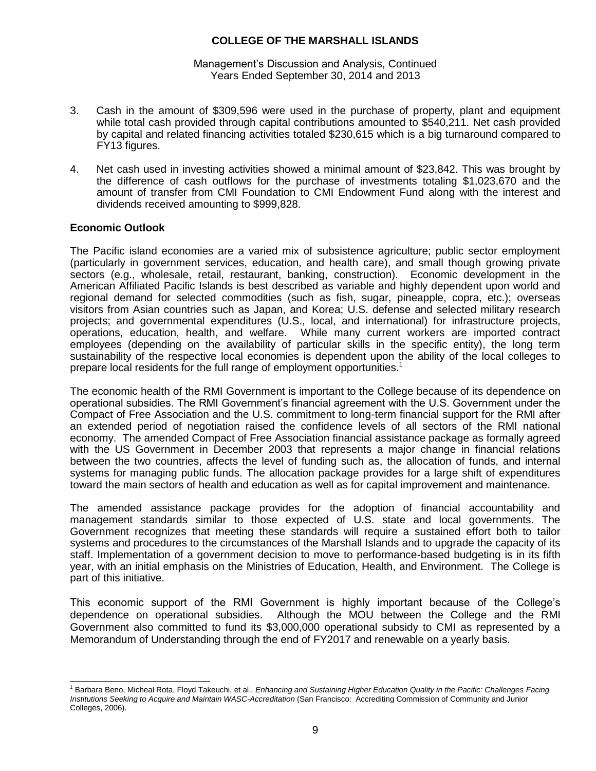Management's Discussion and Analysis, Continued Years Ended September 30, 2014 and 2013

- 3. Cash in the amount of \$309,596 were used in the purchase of property, plant and equipment while total cash provided through capital contributions amounted to \$540,211. Net cash provided by capital and related financing activities totaled \$230,615 which is a big turnaround compared to FY13 figures.
- 4. Net cash used in investing activities showed a minimal amount of \$23,842. This was brought by the difference of cash outflows for the purchase of investments totaling \$1,023,670 and the amount of transfer from CMI Foundation to CMI Endowment Fund along with the interest and dividends received amounting to \$999,828.

### **Economic Outlook**

l

The Pacific island economies are a varied mix of subsistence agriculture; public sector employment (particularly in government services, education, and health care), and small though growing private sectors (e.g., wholesale, retail, restaurant, banking, construction). Economic development in the American Affiliated Pacific Islands is best described as variable and highly dependent upon world and regional demand for selected commodities (such as fish, sugar, pineapple, copra, etc.); overseas visitors from Asian countries such as Japan, and Korea; U.S. defense and selected military research projects; and governmental expenditures (U.S., local, and international) for infrastructure projects, operations, education, health, and welfare. While many current workers are imported contract employees (depending on the availability of particular skills in the specific entity), the long term sustainability of the respective local economies is dependent upon the ability of the local colleges to prepare local residents for the full range of employment opportunities.<sup>1</sup>

The economic health of the RMI Government is important to the College because of its dependence on operational subsidies. The RMI Government's financial agreement with the U.S. Government under the Compact of Free Association and the U.S. commitment to long-term financial support for the RMI after an extended period of negotiation raised the confidence levels of all sectors of the RMI national economy. The amended Compact of Free Association financial assistance package as formally agreed with the US Government in December 2003 that represents a major change in financial relations between the two countries, affects the level of funding such as, the allocation of funds, and internal systems for managing public funds. The allocation package provides for a large shift of expenditures toward the main sectors of health and education as well as for capital improvement and maintenance.

The amended assistance package provides for the adoption of financial accountability and management standards similar to those expected of U.S. state and local governments. The Government recognizes that meeting these standards will require a sustained effort both to tailor systems and procedures to the circumstances of the Marshall Islands and to upgrade the capacity of its staff. Implementation of a government decision to move to performance-based budgeting is in its fifth year, with an initial emphasis on the Ministries of Education, Health, and Environment. The College is part of this initiative.

This economic support of the RMI Government is highly important because of the College's dependence on operational subsidies. Although the MOU between the College and the RMI Government also committed to fund its \$3,000,000 operational subsidy to CMI as represented by a Memorandum of Understanding through the end of FY2017 and renewable on a yearly basis.

<sup>1</sup> Barbara Beno, Micheal Rota, Floyd Takeuchi, et al., *Enhancing and Sustaining Higher Education Quality in the Pacific: Challenges Facing Institutions Seeking to Acquire and Maintain WASC-Accreditation* (San Francisco: Accrediting Commission of Community and Junior Colleges, 2006).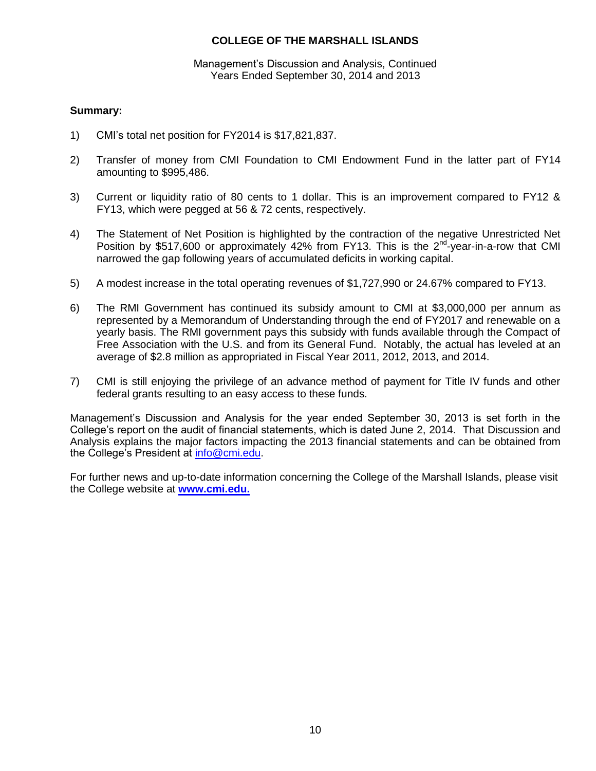Management's Discussion and Analysis, Continued Years Ended September 30, 2014 and 2013

# **Summary:**

- 1) CMI's total net position for FY2014 is \$17,821,837.
- 2) Transfer of money from CMI Foundation to CMI Endowment Fund in the latter part of FY14 amounting to \$995,486.
- 3) Current or liquidity ratio of 80 cents to 1 dollar. This is an improvement compared to FY12 & FY13, which were pegged at 56 & 72 cents, respectively.
- 4) The Statement of Net Position is highlighted by the contraction of the negative Unrestricted Net Position by \$517,600 or approximately 42% from FY13. This is the  $2^{nd}$ -year-in-a-row that CMI narrowed the gap following years of accumulated deficits in working capital.
- 5) A modest increase in the total operating revenues of \$1,727,990 or 24.67% compared to FY13.
- 6) The RMI Government has continued its subsidy amount to CMI at \$3,000,000 per annum as represented by a Memorandum of Understanding through the end of FY2017 and renewable on a yearly basis. The RMI government pays this subsidy with funds available through the Compact of Free Association with the U.S. and from its General Fund. Notably, the actual has leveled at an average of \$2.8 million as appropriated in Fiscal Year 2011, 2012, 2013, and 2014.
- 7) CMI is still enjoying the privilege of an advance method of payment for Title IV funds and other federal grants resulting to an easy access to these funds.

Management's Discussion and Analysis for the year ended September 30, 2013 is set forth in the College's report on the audit of financial statements, which is dated June 2, 2014. That Discussion and Analysis explains the major factors impacting the 2013 financial statements and can be obtained from the College's President at **info@cmi.edu**.

For further news and up-to-date information concerning the College of the Marshall Islands, please visit the College website at **www.cmi.edu.**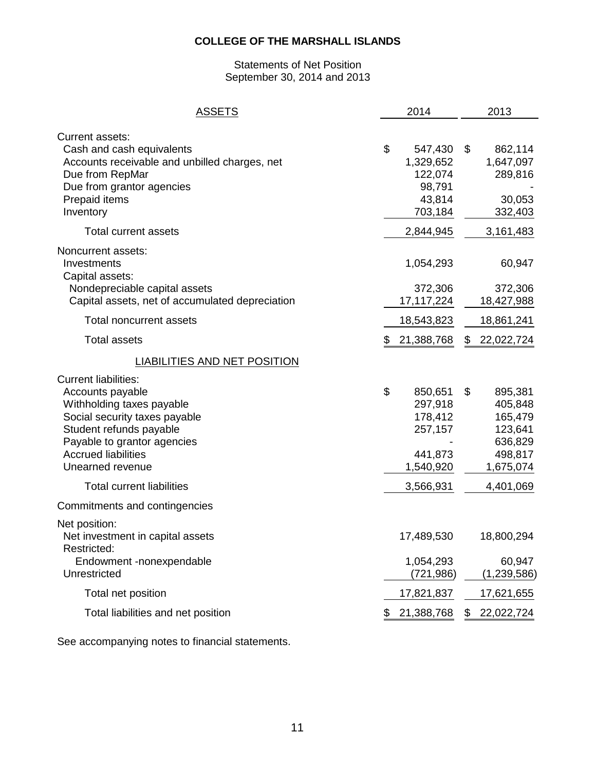# Statements of Net Position September 30, 2014 and 2013

| <b>ASSETS</b>                                                                                                                                                                                                             | 2014                                                                   | 2013                                                                              |
|---------------------------------------------------------------------------------------------------------------------------------------------------------------------------------------------------------------------------|------------------------------------------------------------------------|-----------------------------------------------------------------------------------|
| <b>Current assets:</b><br>Cash and cash equivalents<br>Accounts receivable and unbilled charges, net<br>Due from RepMar                                                                                                   | \$<br>547,430<br>1,329,652<br>122,074                                  | \$<br>862,114<br>1,647,097<br>289,816                                             |
| Due from grantor agencies<br>Prepaid items<br>Inventory                                                                                                                                                                   | 98,791<br>43,814<br>703,184                                            | 30,053<br>332,403                                                                 |
| <b>Total current assets</b>                                                                                                                                                                                               | 2,844,945                                                              | 3,161,483                                                                         |
| Noncurrent assets:<br>Investments<br>Capital assets:<br>Nondepreciable capital assets                                                                                                                                     | 1,054,293<br>372,306                                                   | 60,947<br>372,306                                                                 |
| Capital assets, net of accumulated depreciation                                                                                                                                                                           | 17,117,224                                                             | 18,427,988                                                                        |
| <b>Total noncurrent assets</b>                                                                                                                                                                                            | 18,543,823                                                             | 18,861,241                                                                        |
| <b>Total assets</b>                                                                                                                                                                                                       | 21,388,768                                                             | 22,022,724<br>\$                                                                  |
| <b>LIABILITIES AND NET POSITION</b>                                                                                                                                                                                       |                                                                        |                                                                                   |
| <b>Current liabilities:</b><br>Accounts payable<br>Withholding taxes payable<br>Social security taxes payable<br>Student refunds payable<br>Payable to grantor agencies<br><b>Accrued liabilities</b><br>Unearned revenue | \$<br>850,651<br>297,918<br>178,412<br>257,157<br>441,873<br>1,540,920 | \$<br>895,381<br>405,848<br>165,479<br>123,641<br>636,829<br>498,817<br>1,675,074 |
| <b>Total current liabilities</b>                                                                                                                                                                                          | 3,566,931                                                              | 4,401,069                                                                         |
| Commitments and contingencies                                                                                                                                                                                             |                                                                        |                                                                                   |
| Net position:<br>Net investment in capital assets<br>Restricted:<br>Endowment -nonexpendable                                                                                                                              | 17,489,530<br>1,054,293                                                | 18,800,294<br>60,947                                                              |
| Unrestricted                                                                                                                                                                                                              | (721, 986)                                                             | (1,239,586)                                                                       |
| Total net position                                                                                                                                                                                                        | 17,821,837                                                             | 17,621,655                                                                        |
| Total liabilities and net position                                                                                                                                                                                        | 21,388,768<br>P.                                                       | 22,022,724<br>\$                                                                  |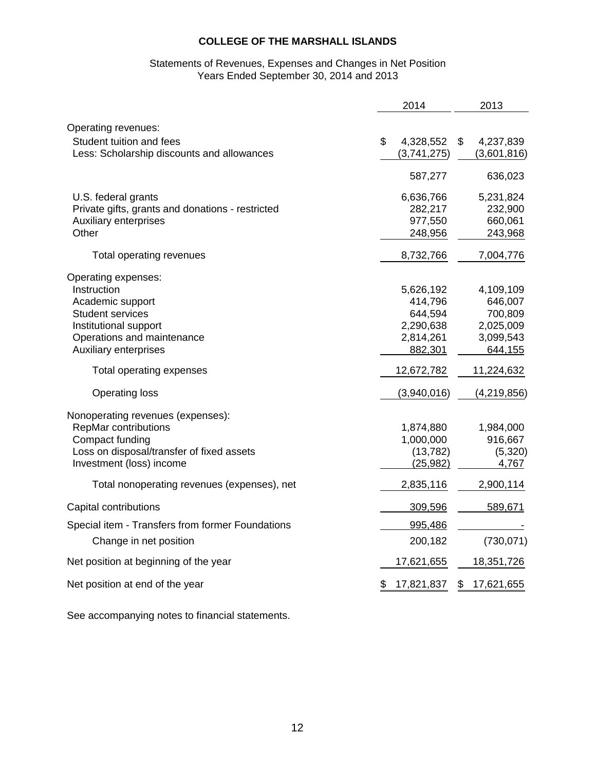#### Statements of Revenues, Expenses and Changes in Net Position Years Ended September 30, 2014 and 2013

|                                                  | 2014            | 2013             |
|--------------------------------------------------|-----------------|------------------|
| Operating revenues:                              |                 |                  |
|                                                  |                 |                  |
| Student tuition and fees                         | \$<br>4,328,552 | \$<br>4,237,839  |
| Less: Scholarship discounts and allowances       | (3,741,275)     | (3,601,816)      |
|                                                  | 587,277         | 636,023          |
| U.S. federal grants                              | 6,636,766       | 5,231,824        |
| Private gifts, grants and donations - restricted | 282,217         | 232,900          |
| <b>Auxiliary enterprises</b>                     | 977,550         | 660,061          |
| Other                                            | 248,956         | 243,968          |
| Total operating revenues                         | 8,732,766       | 7,004,776        |
| Operating expenses:                              |                 |                  |
| Instruction                                      | 5,626,192       | 4,109,109        |
| Academic support                                 | 414,796         | 646,007          |
| <b>Student services</b>                          | 644,594         | 700,809          |
| Institutional support                            | 2,290,638       | 2,025,009        |
| Operations and maintenance                       | 2,814,261       | 3,099,543        |
| <b>Auxiliary enterprises</b>                     | 882,301         | 644,155          |
|                                                  |                 |                  |
| Total operating expenses                         | 12,672,782      | 11,224,632       |
| <b>Operating loss</b>                            | (3,940,016)     | (4,219,856)      |
| Nonoperating revenues (expenses):                |                 |                  |
| <b>RepMar contributions</b>                      | 1,874,880       | 1,984,000        |
| Compact funding                                  | 1,000,000       | 916,667          |
| Loss on disposal/transfer of fixed assets        | (13, 782)       | (5,320)          |
| Investment (loss) income                         | (25, 982)       | 4,767            |
| Total nonoperating revenues (expenses), net      | 2,835,116       | 2,900,114        |
| Capital contributions                            | 309,596         | 589,671          |
| Special item - Transfers from former Foundations | 995,486         |                  |
| Change in net position                           | 200,182         | (730, 071)       |
| Net position at beginning of the year            | 17,621,655      | 18,351,726       |
| Net position at end of the year                  | 17,821,837      | \$<br>17,621,655 |
|                                                  |                 |                  |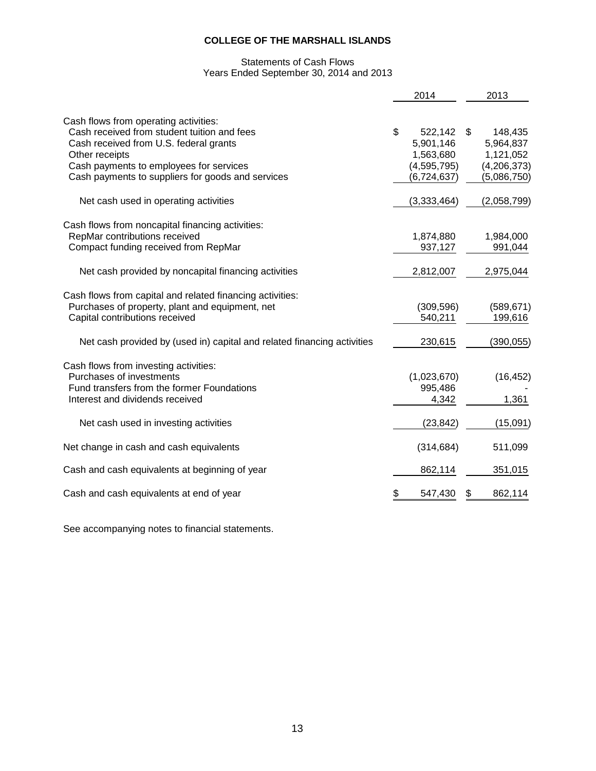### Statements of Cash Flows Years Ended September 30, 2014 and 2013

|                                                                         | 2014             | 2013          |
|-------------------------------------------------------------------------|------------------|---------------|
| Cash flows from operating activities:                                   |                  |               |
| Cash received from student tuition and fees                             | \$<br>522,142 \$ | 148,435       |
| Cash received from U.S. federal grants                                  | 5,901,146        | 5,964,837     |
| Other receipts                                                          | 1,563,680        | 1,121,052     |
| Cash payments to employees for services                                 | (4,595,795)      | (4, 206, 373) |
|                                                                         |                  |               |
| Cash payments to suppliers for goods and services                       | (6,724,637)      | (5,086,750)   |
| Net cash used in operating activities                                   | (3,333,464)      | (2,058,799)   |
| Cash flows from noncapital financing activities:                        |                  |               |
| RepMar contributions received                                           | 1,874,880        | 1,984,000     |
| Compact funding received from RepMar                                    | 937,127          | 991,044       |
|                                                                         |                  |               |
| Net cash provided by noncapital financing activities                    | 2,812,007        | 2,975,044     |
| Cash flows from capital and related financing activities:               |                  |               |
| Purchases of property, plant and equipment, net                         | (309, 596)       | (589, 671)    |
| Capital contributions received                                          | 540,211          | 199,616       |
|                                                                         |                  |               |
| Net cash provided by (used in) capital and related financing activities | 230,615          | (390,055)     |
| Cash flows from investing activities:                                   |                  |               |
| Purchases of investments                                                | (1,023,670)      | (16, 452)     |
| Fund transfers from the former Foundations                              | 995,486          |               |
| Interest and dividends received                                         | 4,342            | 1,361         |
|                                                                         |                  |               |
| Net cash used in investing activities                                   | (23, 842)        | (15,091)      |
| Net change in cash and cash equivalents                                 | (314, 684)       | 511,099       |
| Cash and cash equivalents at beginning of year                          | 862,114          | 351,015       |
| Cash and cash equivalents at end of year                                | 547,430<br>\$    | 862,114<br>\$ |
|                                                                         |                  |               |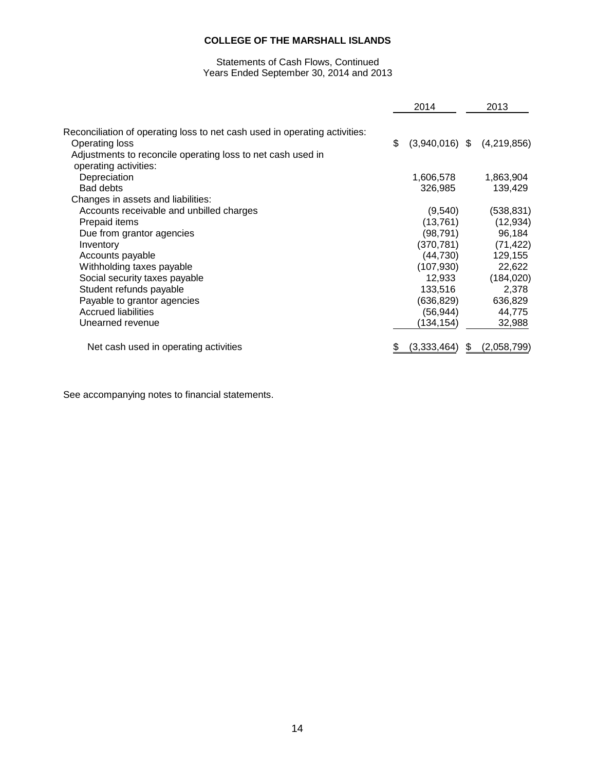# Statements of Cash Flows, Continued Years Ended September 30, 2014 and 2013

|                                                                                              | 2014        | 2013                           |
|----------------------------------------------------------------------------------------------|-------------|--------------------------------|
| Reconciliation of operating loss to net cash used in operating activities:<br>Operating loss | \$          | $(3,940,016)$ \$ $(4,219,856)$ |
| Adjustments to reconcile operating loss to net cash used in                                  |             |                                |
| operating activities:                                                                        |             |                                |
| Depreciation<br><b>Bad debts</b>                                                             | 1,606,578   | 1,863,904<br>139,429           |
| Changes in assets and liabilities:                                                           | 326,985     |                                |
| Accounts receivable and unbilled charges                                                     | (9,540)     | (538, 831)                     |
| Prepaid items                                                                                | (13,761)    | (12, 934)                      |
| Due from grantor agencies                                                                    | (98,791)    | 96,184                         |
| Inventory                                                                                    | (370, 781)  | (71, 422)                      |
| Accounts payable                                                                             | (44, 730)   | 129,155                        |
| Withholding taxes payable                                                                    | (107, 930)  | 22,622                         |
| Social security taxes payable                                                                | 12,933      | (184, 020)                     |
| Student refunds payable                                                                      | 133,516     | 2,378                          |
| Payable to grantor agencies                                                                  | (636, 829)  | 636,829                        |
| <b>Accrued liabilities</b>                                                                   | (56, 944)   | 44,775                         |
| Unearned revenue                                                                             | (134,154)   | 32,988                         |
| Net cash used in operating activities                                                        | (3,333,464) | \$<br>(2,058,799)              |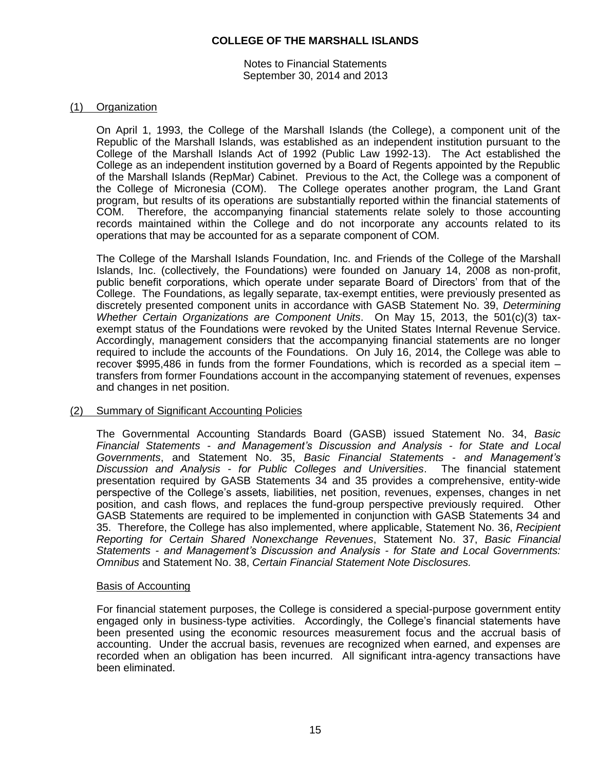Notes to Financial Statements September 30, 2014 and 2013

### (1) Organization

On April 1, 1993, the College of the Marshall Islands (the College), a component unit of the Republic of the Marshall Islands, was established as an independent institution pursuant to the College of the Marshall Islands Act of 1992 (Public Law 1992-13). The Act established the College as an independent institution governed by a Board of Regents appointed by the Republic of the Marshall Islands (RepMar) Cabinet. Previous to the Act, the College was a component of the College of Micronesia (COM). The College operates another program, the Land Grant program, but results of its operations are substantially reported within the financial statements of COM. Therefore, the accompanying financial statements relate solely to those accounting records maintained within the College and do not incorporate any accounts related to its operations that may be accounted for as a separate component of COM.

The College of the Marshall Islands Foundation, Inc. and Friends of the College of the Marshall Islands, Inc. (collectively, the Foundations) were founded on January 14, 2008 as non-profit, public benefit corporations, which operate under separate Board of Directors' from that of the College. The Foundations, as legally separate, tax-exempt entities, were previously presented as discretely presented component units in accordance with GASB Statement No. 39, *Determining Whether Certain Organizations are Component Units*. On May 15, 2013, the 501(c)(3) taxexempt status of the Foundations were revoked by the United States Internal Revenue Service. Accordingly, management considers that the accompanying financial statements are no longer required to include the accounts of the Foundations. On July 16, 2014, the College was able to recover \$995,486 in funds from the former Foundations, which is recorded as a special item – transfers from former Foundations account in the accompanying statement of revenues, expenses and changes in net position.

### (2) Summary of Significant Accounting Policies

The Governmental Accounting Standards Board (GASB) issued Statement No. 34, *Basic Financial Statements - and Management's Discussion and Analysis - for State and Local Governments*, and Statement No. 35, *Basic Financial Statements - and Management's Discussion and Analysis - for Public Colleges and Universities*. The financial statement presentation required by GASB Statements 34 and 35 provides a comprehensive, entity-wide perspective of the College's assets, liabilities, net position, revenues, expenses, changes in net position, and cash flows, and replaces the fund-group perspective previously required. Other GASB Statements are required to be implemented in conjunction with GASB Statements 34 and 35. Therefore, the College has also implemented, where applicable, Statement No. 36, *Recipient Reporting for Certain Shared Nonexchange Revenues*, Statement No. 37, *Basic Financial Statements - and Management's Discussion and Analysis - for State and Local Governments: Omnibus* and Statement No. 38, *Certain Financial Statement Note Disclosures.*

#### Basis of Accounting

For financial statement purposes, the College is considered a special-purpose government entity engaged only in business-type activities. Accordingly, the College's financial statements have been presented using the economic resources measurement focus and the accrual basis of accounting. Under the accrual basis, revenues are recognized when earned, and expenses are recorded when an obligation has been incurred. All significant intra-agency transactions have been eliminated.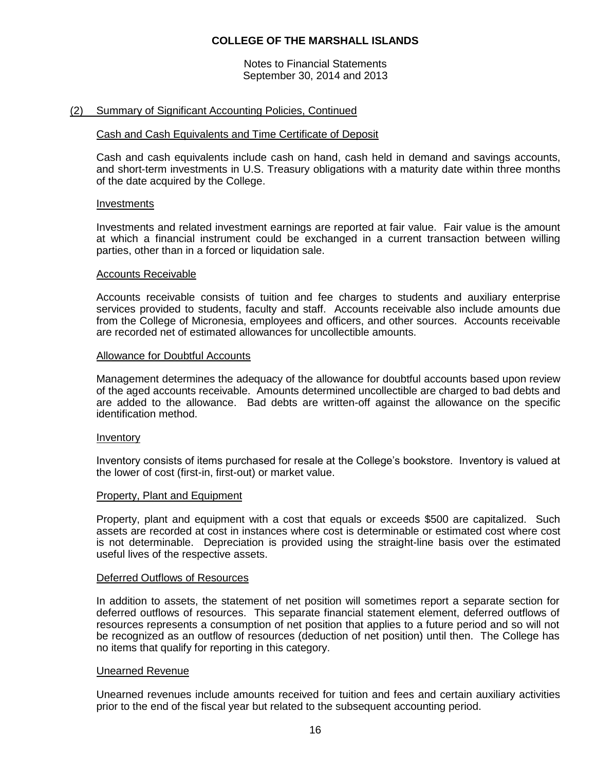Notes to Financial Statements September 30, 2014 and 2013

### (2) Summary of Significant Accounting Policies, Continued

#### Cash and Cash Equivalents and Time Certificate of Deposit

Cash and cash equivalents include cash on hand, cash held in demand and savings accounts, and short-term investments in U.S. Treasury obligations with a maturity date within three months of the date acquired by the College.

#### **Investments**

Investments and related investment earnings are reported at fair value. Fair value is the amount at which a financial instrument could be exchanged in a current transaction between willing parties, other than in a forced or liquidation sale.

#### Accounts Receivable

Accounts receivable consists of tuition and fee charges to students and auxiliary enterprise services provided to students, faculty and staff. Accounts receivable also include amounts due from the College of Micronesia, employees and officers, and other sources. Accounts receivable are recorded net of estimated allowances for uncollectible amounts.

#### Allowance for Doubtful Accounts

Management determines the adequacy of the allowance for doubtful accounts based upon review of the aged accounts receivable. Amounts determined uncollectible are charged to bad debts and are added to the allowance. Bad debts are written-off against the allowance on the specific identification method.

#### Inventory

Inventory consists of items purchased for resale at the College's bookstore. Inventory is valued at the lower of cost (first-in, first-out) or market value.

#### Property, Plant and Equipment

Property, plant and equipment with a cost that equals or exceeds \$500 are capitalized. Such assets are recorded at cost in instances where cost is determinable or estimated cost where cost is not determinable. Depreciation is provided using the straight-line basis over the estimated useful lives of the respective assets.

#### Deferred Outflows of Resources

In addition to assets, the statement of net position will sometimes report a separate section for deferred outflows of resources. This separate financial statement element, deferred outflows of resources represents a consumption of net position that applies to a future period and so will not be recognized as an outflow of resources (deduction of net position) until then. The College has no items that qualify for reporting in this category.

#### Unearned Revenue

Unearned revenues include amounts received for tuition and fees and certain auxiliary activities prior to the end of the fiscal year but related to the subsequent accounting period.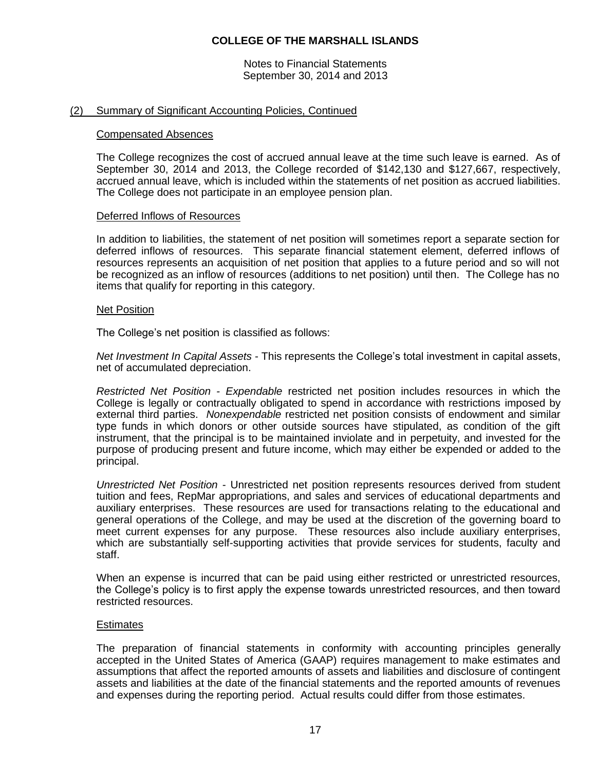Notes to Financial Statements September 30, 2014 and 2013

### (2) Summary of Significant Accounting Policies, Continued

#### Compensated Absences

The College recognizes the cost of accrued annual leave at the time such leave is earned. As of September 30, 2014 and 2013, the College recorded of \$142,130 and \$127,667, respectively, accrued annual leave, which is included within the statements of net position as accrued liabilities. The College does not participate in an employee pension plan.

#### Deferred Inflows of Resources

In addition to liabilities, the statement of net position will sometimes report a separate section for deferred inflows of resources. This separate financial statement element, deferred inflows of resources represents an acquisition of net position that applies to a future period and so will not be recognized as an inflow of resources (additions to net position) until then. The College has no items that qualify for reporting in this category.

#### Net Position

The College's net position is classified as follows:

*Net Investment In Capital Assets* - This represents the College's total investment in capital assets, net of accumulated depreciation.

*Restricted Net Position - Expendable* restricted net position includes resources in which the College is legally or contractually obligated to spend in accordance with restrictions imposed by external third parties. *Nonexpendable* restricted net position consists of endowment and similar type funds in which donors or other outside sources have stipulated, as condition of the gift instrument, that the principal is to be maintained inviolate and in perpetuity, and invested for the purpose of producing present and future income, which may either be expended or added to the principal.

*Unrestricted Net Position* - Unrestricted net position represents resources derived from student tuition and fees, RepMar appropriations, and sales and services of educational departments and auxiliary enterprises. These resources are used for transactions relating to the educational and general operations of the College, and may be used at the discretion of the governing board to meet current expenses for any purpose. These resources also include auxiliary enterprises, which are substantially self-supporting activities that provide services for students, faculty and staff.

When an expense is incurred that can be paid using either restricted or unrestricted resources, the College's policy is to first apply the expense towards unrestricted resources, and then toward restricted resources.

#### **Estimates**

The preparation of financial statements in conformity with accounting principles generally accepted in the United States of America (GAAP) requires management to make estimates and assumptions that affect the reported amounts of assets and liabilities and disclosure of contingent assets and liabilities at the date of the financial statements and the reported amounts of revenues and expenses during the reporting period. Actual results could differ from those estimates.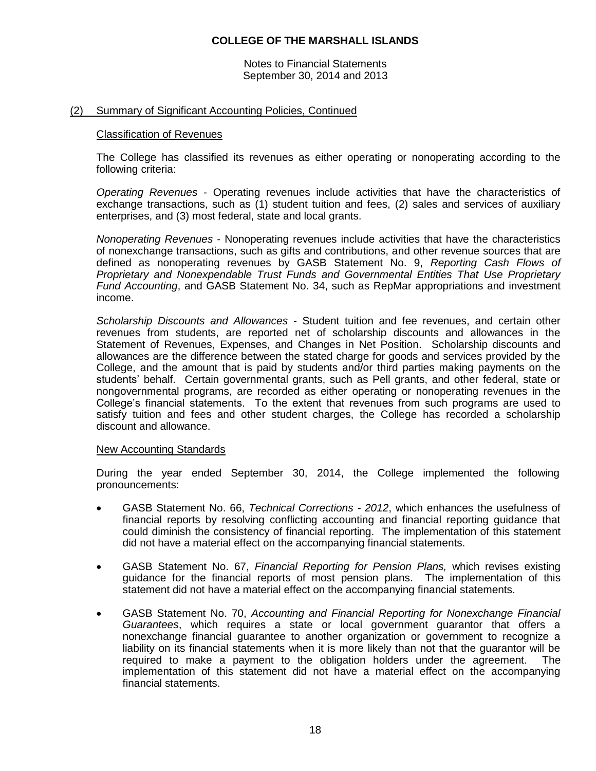Notes to Financial Statements September 30, 2014 and 2013

### (2) Summary of Significant Accounting Policies, Continued

#### Classification of Revenues

The College has classified its revenues as either operating or nonoperating according to the following criteria:

*Operating Revenues* - Operating revenues include activities that have the characteristics of exchange transactions, such as (1) student tuition and fees, (2) sales and services of auxiliary enterprises, and (3) most federal, state and local grants.

*Nonoperating Revenues* - Nonoperating revenues include activities that have the characteristics of nonexchange transactions, such as gifts and contributions, and other revenue sources that are defined as nonoperating revenues by GASB Statement No. 9, *Reporting Cash Flows of Proprietary and Nonexpendable Trust Funds and Governmental Entities That Use Proprietary Fund Accounting*, and GASB Statement No. 34, such as RepMar appropriations and investment income.

*Scholarship Discounts and Allowances* - Student tuition and fee revenues, and certain other revenues from students, are reported net of scholarship discounts and allowances in the Statement of Revenues, Expenses, and Changes in Net Position. Scholarship discounts and allowances are the difference between the stated charge for goods and services provided by the College, and the amount that is paid by students and/or third parties making payments on the students' behalf. Certain governmental grants, such as Pell grants, and other federal, state or nongovernmental programs, are recorded as either operating or nonoperating revenues in the College's financial statements. To the extent that revenues from such programs are used to satisfy tuition and fees and other student charges, the College has recorded a scholarship discount and allowance.

#### New Accounting Standards

During the year ended September 30, 2014, the College implemented the following pronouncements:

- GASB Statement No. 66, *Technical Corrections - 2012*, which enhances the usefulness of financial reports by resolving conflicting accounting and financial reporting guidance that could diminish the consistency of financial reporting. The implementation of this statement did not have a material effect on the accompanying financial statements.
- GASB Statement No. 67, *Financial Reporting for Pension Plans,* which revises existing guidance for the financial reports of most pension plans. The implementation of this statement did not have a material effect on the accompanying financial statements.
- GASB Statement No. 70, *Accounting and Financial Reporting for Nonexchange Financial Guarantees*, which requires a state or local government guarantor that offers a nonexchange financial guarantee to another organization or government to recognize a liability on its financial statements when it is more likely than not that the guarantor will be required to make a payment to the obligation holders under the agreement. The implementation of this statement did not have a material effect on the accompanying financial statements.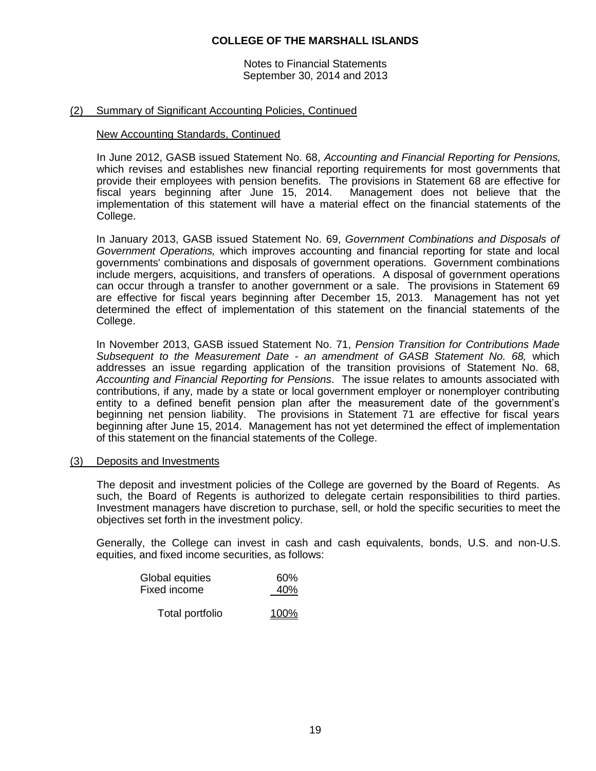Notes to Financial Statements September 30, 2014 and 2013

### (2) Summary of Significant Accounting Policies, Continued

#### New Accounting Standards, Continued

In June 2012, GASB issued Statement No. 68, *Accounting and Financial Reporting for Pensions,*  which revises and establishes new financial reporting requirements for most governments that provide their employees with pension benefits. The provisions in Statement 68 are effective for fiscal years beginning after June 15, 2014. Management does not believe that the implementation of this statement will have a material effect on the financial statements of the College.

In January 2013, GASB issued Statement No. 69, *Government Combinations and Disposals of Government Operations,* which improves accounting and financial reporting for state and local governments' combinations and disposals of government operations. Government combinations include mergers, acquisitions, and transfers of operations. A disposal of government operations can occur through a transfer to another government or a sale. The provisions in Statement 69 are effective for fiscal years beginning after December 15, 2013. Management has not yet determined the effect of implementation of this statement on the financial statements of the College.

In November 2013, GASB issued Statement No. 71, *Pension Transition for Contributions Made Subsequent to the Measurement Date - an amendment of GASB Statement No. 68,* which addresses an issue regarding application of the transition provisions of Statement No. 68, *Accounting and Financial Reporting for Pensions*. The issue relates to amounts associated with contributions, if any, made by a state or local government employer or nonemployer contributing entity to a defined benefit pension plan after the measurement date of the government's beginning net pension liability. The provisions in Statement 71 are effective for fiscal years beginning after June 15, 2014. Management has not yet determined the effect of implementation of this statement on the financial statements of the College.

#### (3) Deposits and Investments

The deposit and investment policies of the College are governed by the Board of Regents. As such, the Board of Regents is authorized to delegate certain responsibilities to third parties. Investment managers have discretion to purchase, sell, or hold the specific securities to meet the objectives set forth in the investment policy.

Generally, the College can invest in cash and cash equivalents, bonds, U.S. and non-U.S. equities, and fixed income securities, as follows:

| Global equities | 60%  |
|-----------------|------|
| Fixed income    | 40%  |
| Total portfolio | 100% |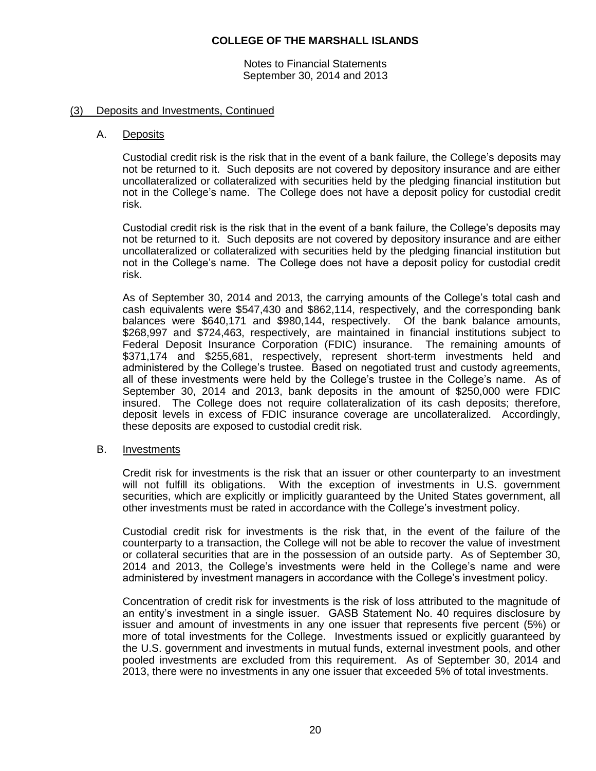Notes to Financial Statements September 30, 2014 and 2013

### (3) Deposits and Investments, Continued

#### A. Deposits

Custodial credit risk is the risk that in the event of a bank failure, the College's deposits may not be returned to it. Such deposits are not covered by depository insurance and are either uncollateralized or collateralized with securities held by the pledging financial institution but not in the College's name. The College does not have a deposit policy for custodial credit risk.

Custodial credit risk is the risk that in the event of a bank failure, the College's deposits may not be returned to it. Such deposits are not covered by depository insurance and are either uncollateralized or collateralized with securities held by the pledging financial institution but not in the College's name. The College does not have a deposit policy for custodial credit risk.

As of September 30, 2014 and 2013, the carrying amounts of the College's total cash and cash equivalents were \$547,430 and \$862,114, respectively, and the corresponding bank balances were \$640,171 and \$980,144, respectively. Of the bank balance amounts, \$268,997 and \$724,463, respectively, are maintained in financial institutions subject to Federal Deposit Insurance Corporation (FDIC) insurance. The remaining amounts of \$371,174 and \$255,681, respectively, represent short-term investments held and administered by the College's trustee. Based on negotiated trust and custody agreements, all of these investments were held by the College's trustee in the College's name. As of September 30, 2014 and 2013, bank deposits in the amount of \$250,000 were FDIC insured. The College does not require collateralization of its cash deposits; therefore, deposit levels in excess of FDIC insurance coverage are uncollateralized. Accordingly, these deposits are exposed to custodial credit risk.

### B. Investments

Credit risk for investments is the risk that an issuer or other counterparty to an investment will not fulfill its obligations. With the exception of investments in U.S. government securities, which are explicitly or implicitly guaranteed by the United States government, all other investments must be rated in accordance with the College's investment policy.

Custodial credit risk for investments is the risk that, in the event of the failure of the counterparty to a transaction, the College will not be able to recover the value of investment or collateral securities that are in the possession of an outside party. As of September 30, 2014 and 2013, the College's investments were held in the College's name and were administered by investment managers in accordance with the College's investment policy.

Concentration of credit risk for investments is the risk of loss attributed to the magnitude of an entity's investment in a single issuer. GASB Statement No. 40 requires disclosure by issuer and amount of investments in any one issuer that represents five percent (5%) or more of total investments for the College. Investments issued or explicitly guaranteed by the U.S. government and investments in mutual funds, external investment pools, and other pooled investments are excluded from this requirement. As of September 30, 2014 and 2013, there were no investments in any one issuer that exceeded 5% of total investments.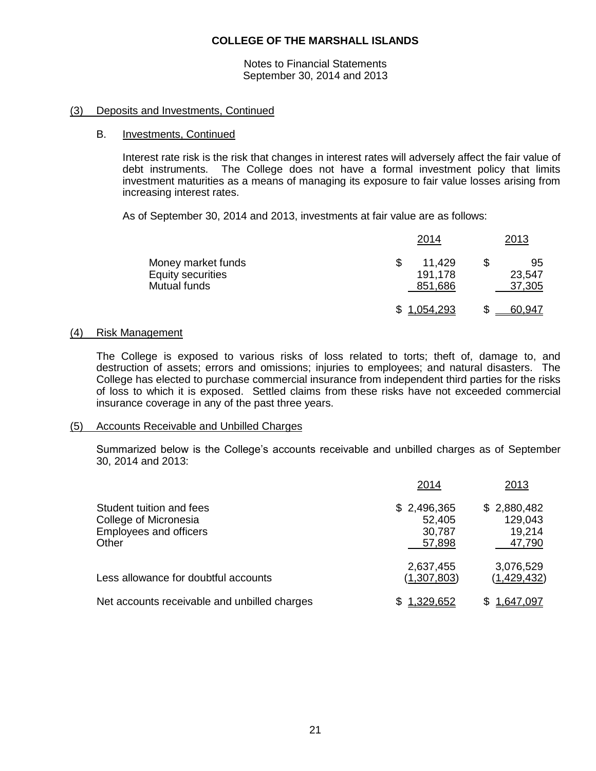Notes to Financial Statements September 30, 2014 and 2013

### (3) Deposits and Investments, Continued

#### B. Investments, Continued

Interest rate risk is the risk that changes in interest rates will adversely affect the fair value of debt instruments. The College does not have a formal investment policy that limits investment maturities as a means of managing its exposure to fair value losses arising from increasing interest rates.

As of September 30, 2014 and 2013, investments at fair value are as follows:

|                                                                | 2014                         | 2013                   |
|----------------------------------------------------------------|------------------------------|------------------------|
| Money market funds<br><b>Equity securities</b><br>Mutual funds | 11,429<br>191,178<br>851,686 | 95<br>23,547<br>37,305 |
|                                                                | \$1,054,293                  | 60.947                 |

### (4) Risk Management

The College is exposed to various risks of loss related to torts; theft of, damage to, and destruction of assets; errors and omissions; injuries to employees; and natural disasters. The College has elected to purchase commercial insurance from independent third parties for the risks of loss to which it is exposed. Settled claims from these risks have not exceeded commercial insurance coverage in any of the past three years.

#### (5) Accounts Receivable and Unbilled Charges

Summarized below is the College's accounts receivable and unbilled charges as of September 30, 2014 and 2013:

|                                                                                      | 2014                                      | 2013                                       |
|--------------------------------------------------------------------------------------|-------------------------------------------|--------------------------------------------|
| Student tuition and fees<br>College of Micronesia<br>Employees and officers<br>Other | \$2,496,365<br>52,405<br>30,787<br>57,898 | \$2,880,482<br>129,043<br>19,214<br>47,790 |
| Less allowance for doubtful accounts                                                 | 2,637,455<br>(1,307,803)                  | 3,076,529<br>(1,429,432)                   |
| Net accounts receivable and unbilled charges                                         | \$1,329,652                               | <u>1,647,097</u>                           |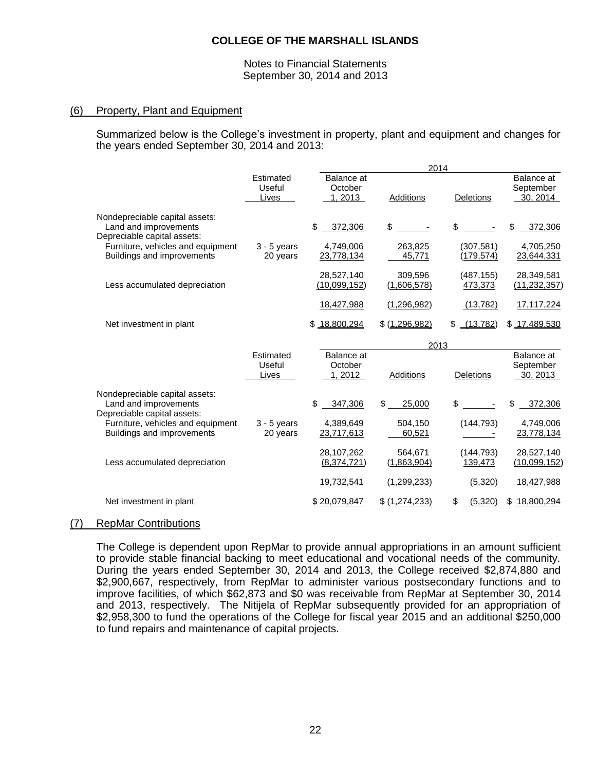#### Notes to Financial Statements September 30, 2014 and 2013

### (6) Property, Plant and Equipment

Summarized below is the College's investment in property, plant and equipment and changes for the years ended September 30, 2014 and 2013:

|                                                                                        |                              |                                  | 2014                   |                          |                                     |
|----------------------------------------------------------------------------------------|------------------------------|----------------------------------|------------------------|--------------------------|-------------------------------------|
|                                                                                        | Estimated<br>Useful<br>Lives | Balance at<br>October<br>1, 2013 | Additions              | <b>Deletions</b>         | Balance at<br>September<br>30, 2014 |
| Nondepreciable capital assets:<br>Land and improvements<br>Depreciable capital assets: |                              | \$<br>372,306                    | $\mathbb S$ -          | $\mathbb{S}$             | \$<br>372,306                       |
| Furniture, vehicles and equipment<br>Buildings and improvements                        | $3 - 5$ years<br>20 years    | 4,749,006<br>23,778,134          | 263,825<br>45,771      | (307, 581)<br>(179, 574) | 4,705,250<br>23,644,331             |
| Less accumulated depreciation                                                          |                              | 28,527,140<br>(10,099,152)       | 309,596<br>(1,606,578) | (487, 155)<br>473,373    | 28,349,581<br>(11, 232, 357)        |
|                                                                                        |                              | 18,427,988                       | (1,296,982)            | (13, 782)                | 17,117,224                          |
| Net investment in plant                                                                |                              | \$18,800,294                     | \$ (1,296,982)         | \$<br>(13, 782)          | \$17,489,530                        |
|                                                                                        |                              |                                  | 2013                   |                          |                                     |
|                                                                                        | Estimated<br>Useful<br>Lives | Balance at<br>October<br>1, 2012 | Additions              | <b>Deletions</b>         | Balance at<br>September<br>30, 2013 |
| Nondepreciable capital assets:<br>Land and improvements<br>Depreciable capital assets: |                              | \$.<br>347,306                   | \$<br>25,000           | \$                       | \$<br>372,306                       |
| Furniture, vehicles and equipment<br>Buildings and improvements                        | $3 - 5$ years<br>20 years    | 4,389,649<br>23,717,613          | 504,150<br>60,521      | (144, 793)               | 4,749,006<br>23,778,134             |
| Less accumulated depreciation                                                          |                              | 28,107,262<br>(8,374,721)        | 564.671<br>(1,863,904) | (144, 793)<br>139,473    | 28,527,140<br>(10,099,152)          |
|                                                                                        |                              | 19,732,541                       | (1,299,233)            | (5,320)                  | 18,427,988                          |
| Net investment in plant                                                                |                              | \$20,079,847                     | \$(1,274,233)          | (5,320)                  | \$18,800,294                        |

#### (7) RepMar Contributions

The College is dependent upon RepMar to provide annual appropriations in an amount sufficient to provide stable financial backing to meet educational and vocational needs of the community. During the years ended September 30, 2014 and 2013, the College received \$2,874,880 and \$2,900,667, respectively, from RepMar to administer various postsecondary functions and to improve facilities, of which \$62,873 and \$0 was receivable from RepMar at September 30, 2014 and 2013, respectively. The Nitijela of RepMar subsequently provided for an appropriation of \$2,958,300 to fund the operations of the College for fiscal year 2015 and an additional \$250,000 to fund repairs and maintenance of capital projects.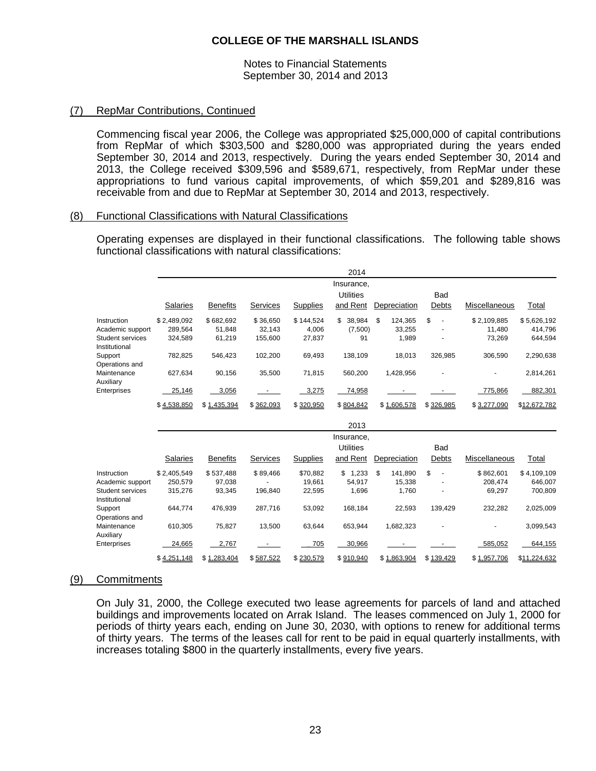Notes to Financial Statements September 30, 2014 and 2013

### (7) RepMar Contributions, Continued

Commencing fiscal year 2006, the College was appropriated \$25,000,000 of capital contributions from RepMar of which \$303,500 and \$280,000 was appropriated during the years ended September 30, 2014 and 2013, respectively. During the years ended September 30, 2014 and 2013, the College received \$309,596 and \$589,671, respectively, from RepMar under these appropriations to fund various capital improvements, of which \$59,201 and \$289,816 was receivable from and due to RepMar at September 30, 2014 and 2013, respectively.

#### (8) Functional Classifications with Natural Classifications

Operating expenses are displayed in their functional classifications. The following table shows functional classifications with natural classifications:

|                                          |                 |                 |           |                 | 2014             |               |                                |               |              |
|------------------------------------------|-----------------|-----------------|-----------|-----------------|------------------|---------------|--------------------------------|---------------|--------------|
|                                          |                 | Insurance,      |           |                 |                  |               |                                |               |              |
|                                          |                 |                 |           |                 | <b>Utilities</b> |               | <b>Bad</b>                     |               |              |
|                                          | <b>Salaries</b> | <b>Benefits</b> | Services  | <b>Supplies</b> | and Rent         | Depreciation  | Debts                          | Miscellaneous | Total        |
| Instruction                              | \$2,489,092     | \$682,692       | \$36,650  | \$144.524       | \$<br>38.984     | \$<br>124.365 | \$<br>$\overline{\phantom{a}}$ | \$2,109,885   | \$5,626,192  |
| Academic support                         | 289,564         | 51,848          | 32,143    | 4,006           | (7,500)          | 33,255        |                                | 11.480        | 414,796      |
| <b>Student services</b><br>Institutional | 324.589         | 61,219          | 155,600   | 27,837          | 91               | 1,989         | <b>-</b>                       | 73,269        | 644,594      |
| Support<br>Operations and                | 782,825         | 546,423         | 102,200   | 69,493          | 138,109          | 18.013        | 326,985                        | 306,590       | 2,290,638    |
| Maintenance<br>Auxiliary                 | 627.634         | 90,156          | 35,500    | 71,815          | 560.200          | 1,428,956     |                                |               | 2,814,261    |
| Enterprises                              | 25,146          | 3,056           |           | 3,275           | 74,958           |               |                                | 775,866       | 882,301      |
|                                          | \$4.538.850     | \$1,435,394     | \$362,093 | \$320,950       | \$804,842        | \$1.606.578   | \$326,985                      | \$3.277.090   | \$12,672,782 |

|                                   |                 |                 |           |                 | 2013             |               |                                |               |              |
|-----------------------------------|-----------------|-----------------|-----------|-----------------|------------------|---------------|--------------------------------|---------------|--------------|
|                                   |                 | Insurance,      |           |                 |                  |               |                                |               |              |
|                                   |                 |                 |           |                 | <b>Utilities</b> |               | <b>Bad</b>                     |               |              |
|                                   | <b>Salaries</b> | <b>Benefits</b> | Services  | <b>Supplies</b> | and Rent         | Depreciation  | Debts                          | Miscellaneous | Total        |
| Instruction                       | \$2,405,549     | \$537,488       | \$89,466  | \$70,882        | \$1,233          | \$<br>141.890 | \$<br>$\overline{\phantom{a}}$ | \$862,601     | \$4,109,109  |
| Academic support                  | 250,579         | 97,038          |           | 19,661          | 54,917           | 15,338        |                                | 208.474       | 646,007      |
| Student services<br>Institutional | 315,276         | 93,345          | 196,840   | 22,595          | 1,696            | 1,760         | ٠                              | 69,297        | 700,809      |
| Support<br>Operations and         | 644.774         | 476.939         | 287,716   | 53,092          | 168.184          | 22,593        | 139,429                        | 232,282       | 2,025,009    |
| Maintenance<br>Auxiliary          | 610.305         | 75,827          | 13,500    | 63,644          | 653.944          | 1,682,323     |                                | ٠             | 3,099,543    |
| Enterprises                       | 24,665          | 2,767           |           | 705             | 30,966           |               |                                | 585,052       | 644,155      |
|                                   | \$4.251.148     | \$1.283.404     | \$587,522 | \$230,579       | \$910.940        | \$1.863.904   | \$139,429                      | \$1,957,706   | \$11,224,632 |

### (9) Commitments

On July 31, 2000, the College executed two lease agreements for parcels of land and attached buildings and improvements located on Arrak Island. The leases commenced on July 1, 2000 for periods of thirty years each, ending on June 30, 2030, with options to renew for additional terms of thirty years. The terms of the leases call for rent to be paid in equal quarterly installments, with increases totaling \$800 in the quarterly installments, every five years.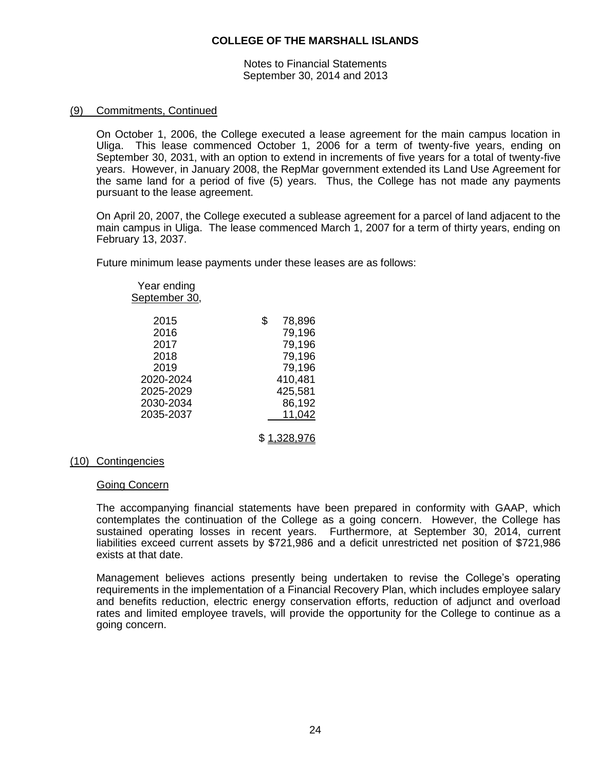Notes to Financial Statements September 30, 2014 and 2013

### (9) Commitments, Continued

On October 1, 2006, the College executed a lease agreement for the main campus location in Uliga. This lease commenced October 1, 2006 for a term of twenty-five years, ending on September 30, 2031, with an option to extend in increments of five years for a total of twenty-five years. However, in January 2008, the RepMar government extended its Land Use Agreement for the same land for a period of five (5) years. Thus, the College has not made any payments pursuant to the lease agreement.

On April 20, 2007, the College executed a sublease agreement for a parcel of land adjacent to the main campus in Uliga. The lease commenced March 1, 2007 for a term of thirty years, ending on February 13, 2037.

Future minimum lease payments under these leases are as follows:

| Year ending<br>September 30,                                                             |                                                                                                |  |
|------------------------------------------------------------------------------------------|------------------------------------------------------------------------------------------------|--|
| 2015<br>2016<br>2017<br>2018<br>2019<br>2020-2024<br>2025-2029<br>2030-2034<br>2035-2037 | \$<br>78,896<br>79,196<br>79,196<br>79,196<br>79,196<br>410,481<br>425,581<br>86,192<br>11,042 |  |
|                                                                                          | <u>\$ 1,328,976</u>                                                                            |  |

### (10) Contingencies

#### Going Concern

The accompanying financial statements have been prepared in conformity with GAAP, which contemplates the continuation of the College as a going concern. However, the College has sustained operating losses in recent years. Furthermore, at September 30, 2014, current liabilities exceed current assets by \$721,986 and a deficit unrestricted net position of \$721,986 exists at that date.

Management believes actions presently being undertaken to revise the College's operating requirements in the implementation of a Financial Recovery Plan, which includes employee salary and benefits reduction, electric energy conservation efforts, reduction of adjunct and overload rates and limited employee travels, will provide the opportunity for the College to continue as a going concern.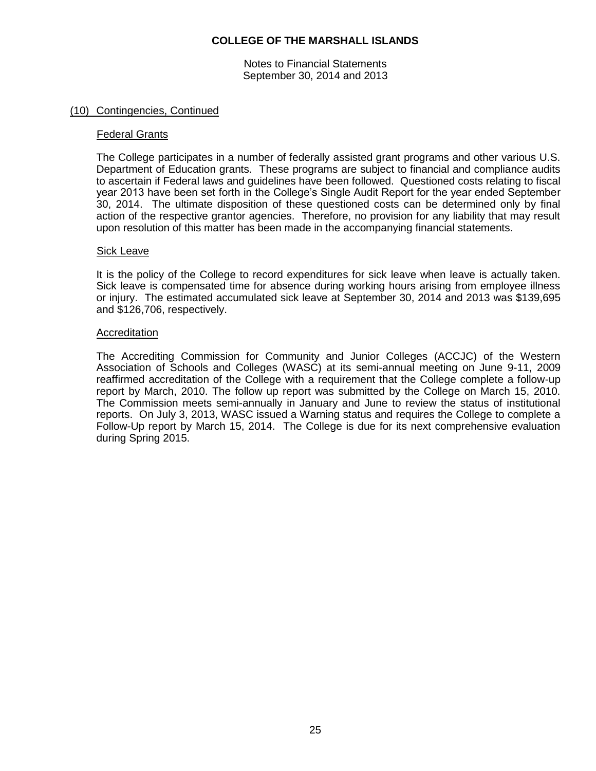Notes to Financial Statements September 30, 2014 and 2013

### (10) Contingencies, Continued

#### Federal Grants

The College participates in a number of federally assisted grant programs and other various U.S. Department of Education grants. These programs are subject to financial and compliance audits to ascertain if Federal laws and guidelines have been followed. Questioned costs relating to fiscal year 2013 have been set forth in the College's Single Audit Report for the year ended September 30, 2014. The ultimate disposition of these questioned costs can be determined only by final action of the respective grantor agencies. Therefore, no provision for any liability that may result upon resolution of this matter has been made in the accompanying financial statements.

#### Sick Leave

It is the policy of the College to record expenditures for sick leave when leave is actually taken. Sick leave is compensated time for absence during working hours arising from employee illness or injury. The estimated accumulated sick leave at September 30, 2014 and 2013 was \$139,695 and \$126,706, respectively.

#### Accreditation

The Accrediting Commission for Community and Junior Colleges (ACCJC) of the Western Association of Schools and Colleges (WASC) at its semi-annual meeting on June 9-11, 2009 reaffirmed accreditation of the College with a requirement that the College complete a follow-up report by March, 2010. The follow up report was submitted by the College on March 15, 2010. The Commission meets semi-annually in January and June to review the status of institutional reports. On July 3, 2013, WASC issued a Warning status and requires the College to complete a Follow-Up report by March 15, 2014. The College is due for its next comprehensive evaluation during Spring 2015.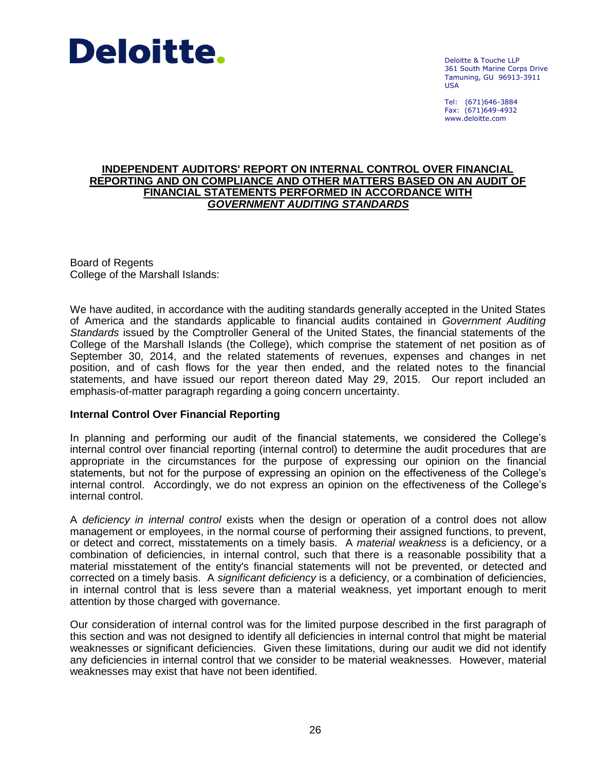

Deloitte & Touche LLP 361 South Marine Corps Drive Tamuning, GU 96913-3911 USA

Tel: (671)646-3884 Fax: (671)649-4932 www.deloitte.com

### **INDEPENDENT AUDITORS' REPORT ON INTERNAL CONTROL OVER FINANCIAL REPORTING AND ON COMPLIANCE AND OTHER MATTERS BASED ON AN AUDIT OF FINANCIAL STATEMENTS PERFORMED IN ACCORDANCE WITH**  *GOVERNMENT AUDITING STANDARDS*

Board of Regents College of the Marshall Islands:

We have audited, in accordance with the auditing standards generally accepted in the United States of America and the standards applicable to financial audits contained in *Government Auditing Standards* issued by the Comptroller General of the United States, the financial statements of the College of the Marshall Islands (the College), which comprise the statement of net position as of September 30, 2014, and the related statements of revenues, expenses and changes in net position, and of cash flows for the year then ended, and the related notes to the financial statements, and have issued our report thereon dated May 29, 2015. Our report included an emphasis-of-matter paragraph regarding a going concern uncertainty.

### **Internal Control Over Financial Reporting**

In planning and performing our audit of the financial statements, we considered the College's internal control over financial reporting (internal control) to determine the audit procedures that are appropriate in the circumstances for the purpose of expressing our opinion on the financial statements, but not for the purpose of expressing an opinion on the effectiveness of the College's internal control. Accordingly, we do not express an opinion on the effectiveness of the College's internal control.

A *deficiency in internal control* exists when the design or operation of a control does not allow management or employees, in the normal course of performing their assigned functions, to prevent, or detect and correct, misstatements on a timely basis. A *material weakness* is a deficiency, or a combination of deficiencies, in internal control, such that there is a reasonable possibility that a material misstatement of the entity's financial statements will not be prevented, or detected and corrected on a timely basis. A *significant deficiency* is a deficiency, or a combination of deficiencies, in internal control that is less severe than a material weakness, yet important enough to merit attention by those charged with governance.

Our consideration of internal control was for the limited purpose described in the first paragraph of this section and was not designed to identify all deficiencies in internal control that might be material weaknesses or significant deficiencies. Given these limitations, during our audit we did not identify any deficiencies in internal control that we consider to be material weaknesses. However, material weaknesses may exist that have not been identified.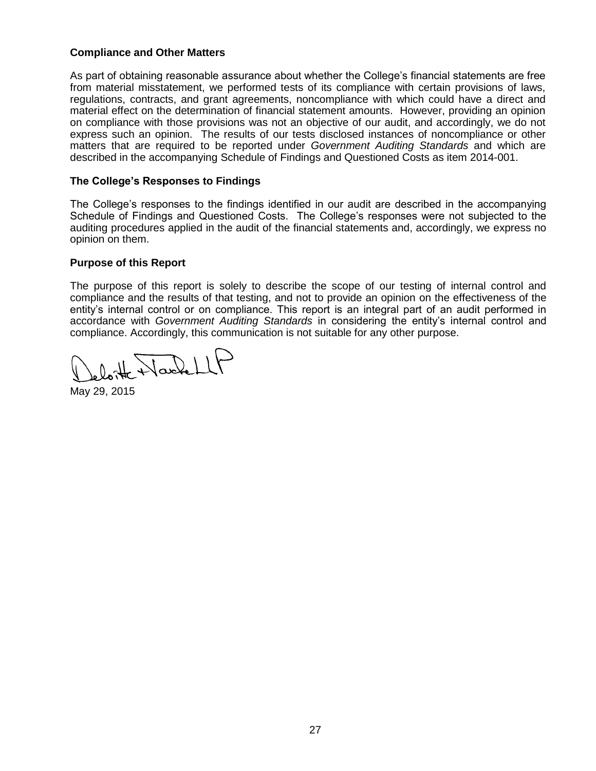# **Compliance and Other Matters**

As part of obtaining reasonable assurance about whether the College's financial statements are free from material misstatement, we performed tests of its compliance with certain provisions of laws, regulations, contracts, and grant agreements, noncompliance with which could have a direct and material effect on the determination of financial statement amounts. However, providing an opinion on compliance with those provisions was not an objective of our audit, and accordingly, we do not express such an opinion. The results of our tests disclosed instances of noncompliance or other matters that are required to be reported under *Government Auditing Standards* and which are described in the accompanying Schedule of Findings and Questioned Costs as item 2014-001.

### **The College's Responses to Findings**

The College's responses to the findings identified in our audit are described in the accompanying Schedule of Findings and Questioned Costs. The College's responses were not subjected to the auditing procedures applied in the audit of the financial statements and, accordingly, we express no opinion on them.

# **Purpose of this Report**

The purpose of this report is solely to describe the scope of our testing of internal control and compliance and the results of that testing, and not to provide an opinion on the effectiveness of the entity's internal control or on compliance. This report is an integral part of an audit performed in accordance with *Government Auditing Standards* in considering the entity's internal control and compliance. Accordingly, this communication is not suitable for any other purpose.

loite Harlell

May 29, 2015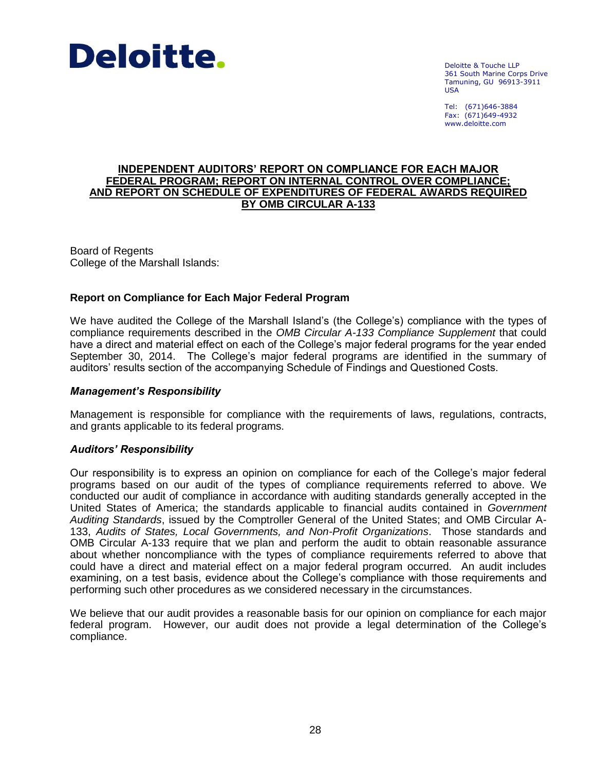

Deloitte & Touche LLP 361 South Marine Corps Drive Tamuning, GU 96913-3911 USA

Tel: (671)646-3884 Fax: (671)649-4932 www.deloitte.com

### **INDEPENDENT AUDITORS' REPORT ON COMPLIANCE FOR EACH MAJOR FEDERAL PROGRAM; REPORT ON INTERNAL CONTROL OVER COMPLIANCE; AND REPORT ON SCHEDULE OF EXPENDITURES OF FEDERAL AWARDS REQUIRED BY OMB CIRCULAR A-133**

Board of Regents College of the Marshall Islands:

# **Report on Compliance for Each Major Federal Program**

We have audited the College of the Marshall Island's (the College's) compliance with the types of compliance requirements described in the *OMB Circular A-133 Compliance Supplement* that could have a direct and material effect on each of the College's major federal programs for the year ended September 30, 2014. The College's major federal programs are identified in the summary of auditors' results section of the accompanying Schedule of Findings and Questioned Costs.

### *Management's Responsibility*

Management is responsible for compliance with the requirements of laws, regulations, contracts, and grants applicable to its federal programs.

### *Auditors' Responsibility*

Our responsibility is to express an opinion on compliance for each of the College's major federal programs based on our audit of the types of compliance requirements referred to above. We conducted our audit of compliance in accordance with auditing standards generally accepted in the United States of America; the standards applicable to financial audits contained in *Government Auditing Standards*, issued by the Comptroller General of the United States; and OMB Circular A-133, *Audits of States, Local Governments, and Non-Profit Organizations*. Those standards and OMB Circular A-133 require that we plan and perform the audit to obtain reasonable assurance about whether noncompliance with the types of compliance requirements referred to above that could have a direct and material effect on a major federal program occurred. An audit includes examining, on a test basis, evidence about the College's compliance with those requirements and performing such other procedures as we considered necessary in the circumstances.

We believe that our audit provides a reasonable basis for our opinion on compliance for each major federal program. However, our audit does not provide a legal determination of the College's compliance.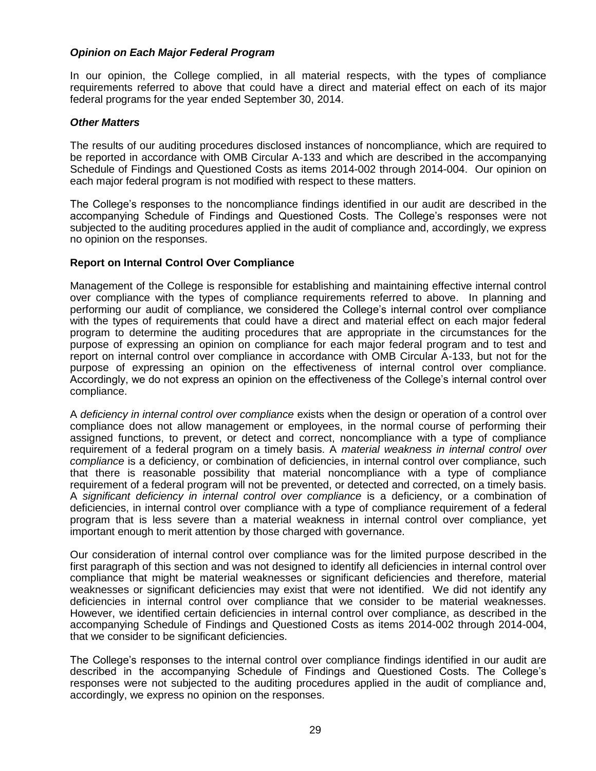# *Opinion on Each Major Federal Program*

In our opinion, the College complied, in all material respects, with the types of compliance requirements referred to above that could have a direct and material effect on each of its major federal programs for the year ended September 30, 2014.

# *Other Matters*

The results of our auditing procedures disclosed instances of noncompliance, which are required to be reported in accordance with OMB Circular A-133 and which are described in the accompanying Schedule of Findings and Questioned Costs as items 2014-002 through 2014-004. Our opinion on each major federal program is not modified with respect to these matters.

The College's responses to the noncompliance findings identified in our audit are described in the accompanying Schedule of Findings and Questioned Costs. The College's responses were not subjected to the auditing procedures applied in the audit of compliance and, accordingly, we express no opinion on the responses.

### **Report on Internal Control Over Compliance**

Management of the College is responsible for establishing and maintaining effective internal control over compliance with the types of compliance requirements referred to above. In planning and performing our audit of compliance, we considered the College's internal control over compliance with the types of requirements that could have a direct and material effect on each major federal program to determine the auditing procedures that are appropriate in the circumstances for the purpose of expressing an opinion on compliance for each major federal program and to test and report on internal control over compliance in accordance with OMB Circular A-133, but not for the purpose of expressing an opinion on the effectiveness of internal control over compliance. Accordingly, we do not express an opinion on the effectiveness of the College's internal control over compliance.

A *deficiency in internal control over compliance* exists when the design or operation of a control over compliance does not allow management or employees, in the normal course of performing their assigned functions, to prevent, or detect and correct, noncompliance with a type of compliance requirement of a federal program on a timely basis. A *material weakness in internal control over compliance* is a deficiency, or combination of deficiencies, in internal control over compliance, such that there is reasonable possibility that material noncompliance with a type of compliance requirement of a federal program will not be prevented, or detected and corrected, on a timely basis. A *significant deficiency in internal control over compliance* is a deficiency, or a combination of deficiencies, in internal control over compliance with a type of compliance requirement of a federal program that is less severe than a material weakness in internal control over compliance, yet important enough to merit attention by those charged with governance.

Our consideration of internal control over compliance was for the limited purpose described in the first paragraph of this section and was not designed to identify all deficiencies in internal control over compliance that might be material weaknesses or significant deficiencies and therefore, material weaknesses or significant deficiencies may exist that were not identified. We did not identify any deficiencies in internal control over compliance that we consider to be material weaknesses. However, we identified certain deficiencies in internal control over compliance, as described in the accompanying Schedule of Findings and Questioned Costs as items 2014-002 through 2014-004, that we consider to be significant deficiencies.

The College's responses to the internal control over compliance findings identified in our audit are described in the accompanying Schedule of Findings and Questioned Costs. The College's responses were not subjected to the auditing procedures applied in the audit of compliance and, accordingly, we express no opinion on the responses.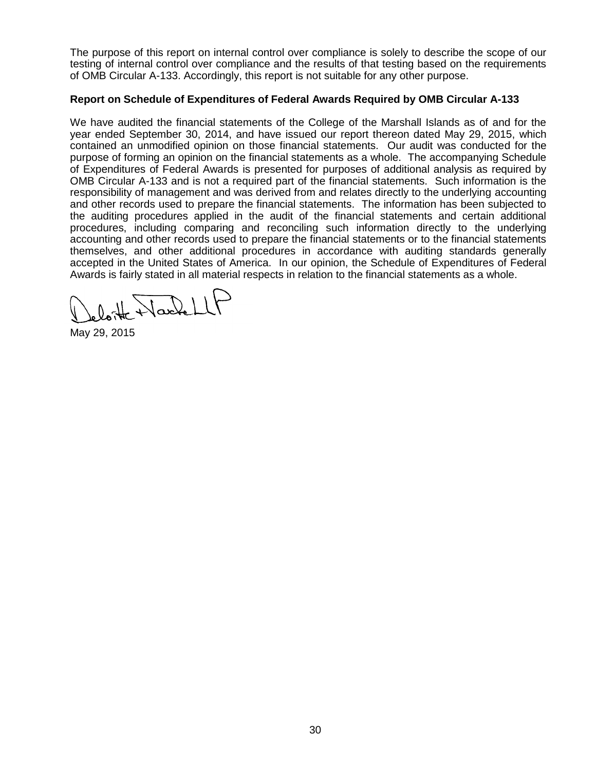The purpose of this report on internal control over compliance is solely to describe the scope of our testing of internal control over compliance and the results of that testing based on the requirements of OMB Circular A-133. Accordingly, this report is not suitable for any other purpose.

# **Report on Schedule of Expenditures of Federal Awards Required by OMB Circular A-133**

We have audited the financial statements of the College of the Marshall Islands as of and for the year ended September 30, 2014, and have issued our report thereon dated May 29, 2015, which contained an unmodified opinion on those financial statements. Our audit was conducted for the purpose of forming an opinion on the financial statements as a whole. The accompanying Schedule of Expenditures of Federal Awards is presented for purposes of additional analysis as required by OMB Circular A-133 and is not a required part of the financial statements. Such information is the responsibility of management and was derived from and relates directly to the underlying accounting and other records used to prepare the financial statements. The information has been subjected to the auditing procedures applied in the audit of the financial statements and certain additional procedures, including comparing and reconciling such information directly to the underlying accounting and other records used to prepare the financial statements or to the financial statements themselves, and other additional procedures in accordance with auditing standards generally accepted in the United States of America. In our opinion, the Schedule of Expenditures of Federal Awards is fairly stated in all material respects in relation to the financial statements as a whole.

May 29, 2015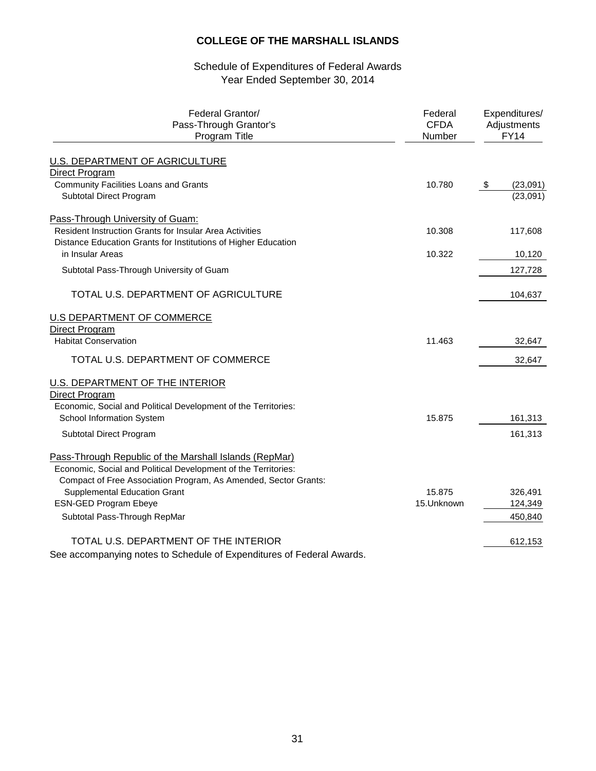# Schedule of Expenditures of Federal Awards Year Ended September 30, 2014

| Federal Grantor/<br>Pass-Through Grantor's<br>Program Title           | Federal<br><b>CFDA</b><br>Number | Expenditures/<br>Adjustments<br><b>FY14</b> |
|-----------------------------------------------------------------------|----------------------------------|---------------------------------------------|
| U.S. DEPARTMENT OF AGRICULTURE                                        |                                  |                                             |
| <b>Direct Program</b>                                                 |                                  |                                             |
| <b>Community Facilities Loans and Grants</b>                          | 10.780                           | \$<br>(23,091)                              |
| Subtotal Direct Program                                               |                                  | (23,091)                                    |
| Pass-Through University of Guam:                                      |                                  |                                             |
| Resident Instruction Grants for Insular Area Activities               | 10.308                           | 117,608                                     |
| Distance Education Grants for Institutions of Higher Education        |                                  |                                             |
| in Insular Areas                                                      | 10.322                           | 10,120                                      |
| Subtotal Pass-Through University of Guam                              |                                  | 127,728                                     |
| TOTAL U.S. DEPARTMENT OF AGRICULTURE                                  |                                  | 104,637                                     |
| <b>U.S DEPARTMENT OF COMMERCE</b>                                     |                                  |                                             |
| Direct Program                                                        |                                  |                                             |
| <b>Habitat Conservation</b>                                           | 11.463                           | 32,647                                      |
| TOTAL U.S. DEPARTMENT OF COMMERCE                                     |                                  | 32,647                                      |
| U.S. DEPARTMENT OF THE INTERIOR                                       |                                  |                                             |
| Direct Program                                                        |                                  |                                             |
| Economic, Social and Political Development of the Territories:        |                                  |                                             |
| School Information System                                             | 15.875                           | 161,313                                     |
| Subtotal Direct Program                                               |                                  | 161,313                                     |
| Pass-Through Republic of the Marshall Islands (RepMar)                |                                  |                                             |
| Economic, Social and Political Development of the Territories:        |                                  |                                             |
| Compact of Free Association Program, As Amended, Sector Grants:       |                                  |                                             |
| <b>Supplemental Education Grant</b>                                   | 15.875                           | 326,491                                     |
| <b>ESN-GED Program Ebeye</b>                                          | 15.Unknown                       | 124,349                                     |
| Subtotal Pass-Through RepMar                                          |                                  | 450,840                                     |
| TOTAL U.S. DEPARTMENT OF THE INTERIOR                                 |                                  | 612,153                                     |
| See accompanying notes to Schedule of Expenditures of Federal Awards. |                                  |                                             |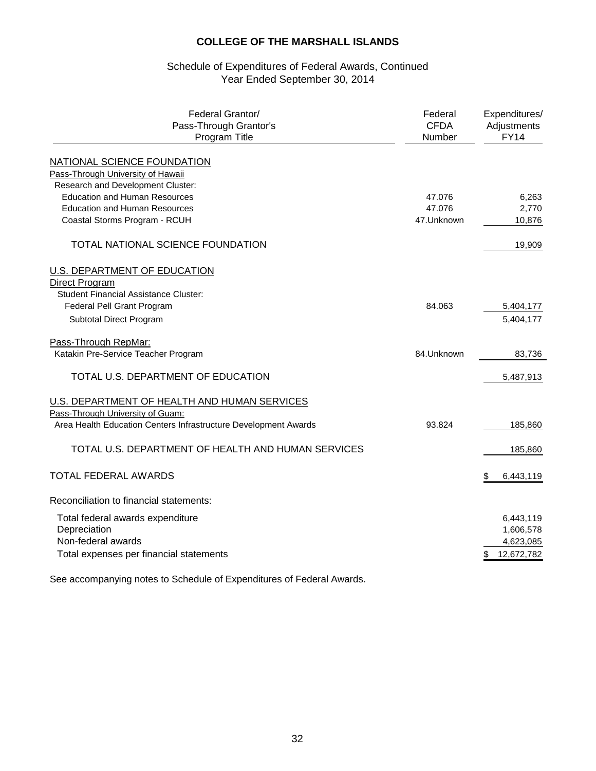# Schedule of Expenditures of Federal Awards, Continued Year Ended September 30, 2014

| Federal Grantor/<br>Pass-Through Grantor's<br>Program Title     | Federal<br><b>CFDA</b><br>Number | Expenditures/<br>Adjustments<br><b>FY14</b> |
|-----------------------------------------------------------------|----------------------------------|---------------------------------------------|
| NATIONAL SCIENCE FOUNDATION                                     |                                  |                                             |
| Pass-Through University of Hawaii                               |                                  |                                             |
| Research and Development Cluster:                               |                                  |                                             |
| <b>Education and Human Resources</b>                            | 47.076                           | 6,263                                       |
| <b>Education and Human Resources</b>                            | 47.076                           | 2,770                                       |
| Coastal Storms Program - RCUH                                   | 47. Unknown                      | 10,876                                      |
| TOTAL NATIONAL SCIENCE FOUNDATION                               |                                  | 19,909                                      |
| U.S. DEPARTMENT OF EDUCATION                                    |                                  |                                             |
| Direct Program                                                  |                                  |                                             |
| <b>Student Financial Assistance Cluster:</b>                    |                                  |                                             |
| Federal Pell Grant Program                                      | 84.063                           | 5,404,177                                   |
| Subtotal Direct Program                                         |                                  | 5,404,177                                   |
| Pass-Through RepMar:                                            |                                  |                                             |
| Katakin Pre-Service Teacher Program                             | 84.Unknown                       | 83,736                                      |
| TOTAL U.S. DEPARTMENT OF EDUCATION                              |                                  | 5,487,913                                   |
| U.S. DEPARTMENT OF HEALTH AND HUMAN SERVICES                    |                                  |                                             |
| Pass-Through University of Guam:                                |                                  |                                             |
| Area Health Education Centers Infrastructure Development Awards | 93.824                           | 185,860                                     |
| TOTAL U.S. DEPARTMENT OF HEALTH AND HUMAN SERVICES              |                                  | 185,860                                     |
| <b>TOTAL FEDERAL AWARDS</b>                                     |                                  | \$<br>6,443,119                             |
| Reconciliation to financial statements:                         |                                  |                                             |
| Total federal awards expenditure                                |                                  | 6,443,119                                   |
| Depreciation                                                    |                                  | 1,606,578                                   |
| Non-federal awards                                              |                                  | 4,623,085                                   |
| Total expenses per financial statements                         |                                  | 12,672,782<br>S                             |
|                                                                 |                                  |                                             |

See accompanying notes to Schedule of Expenditures of Federal Awards.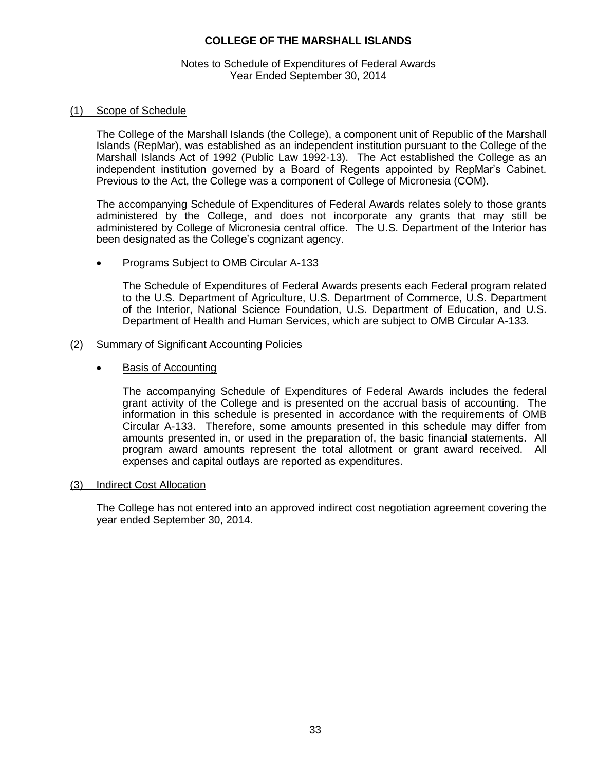### Notes to Schedule of Expenditures of Federal Awards Year Ended September 30, 2014

### (1) Scope of Schedule

The College of the Marshall Islands (the College), a component unit of Republic of the Marshall Islands (RepMar), was established as an independent institution pursuant to the College of the Marshall Islands Act of 1992 (Public Law 1992-13). The Act established the College as an independent institution governed by a Board of Regents appointed by RepMar's Cabinet. Previous to the Act, the College was a component of College of Micronesia (COM).

The accompanying Schedule of Expenditures of Federal Awards relates solely to those grants administered by the College, and does not incorporate any grants that may still be administered by College of Micronesia central office. The U.S. Department of the Interior has been designated as the College's cognizant agency.

### Programs Subject to OMB Circular A-133

The Schedule of Expenditures of Federal Awards presents each Federal program related to the U.S. Department of Agriculture, U.S. Department of Commerce, U.S. Department of the Interior, National Science Foundation, U.S. Department of Education, and U.S. Department of Health and Human Services, which are subject to OMB Circular A-133.

### (2) Summary of Significant Accounting Policies

### • Basis of Accounting

The accompanying Schedule of Expenditures of Federal Awards includes the federal grant activity of the College and is presented on the accrual basis of accounting. The information in this schedule is presented in accordance with the requirements of OMB Circular A-133. Therefore, some amounts presented in this schedule may differ from amounts presented in, or used in the preparation of, the basic financial statements. All program award amounts represent the total allotment or grant award received. All expenses and capital outlays are reported as expenditures.

#### (3) Indirect Cost Allocation

The College has not entered into an approved indirect cost negotiation agreement covering the year ended September 30, 2014.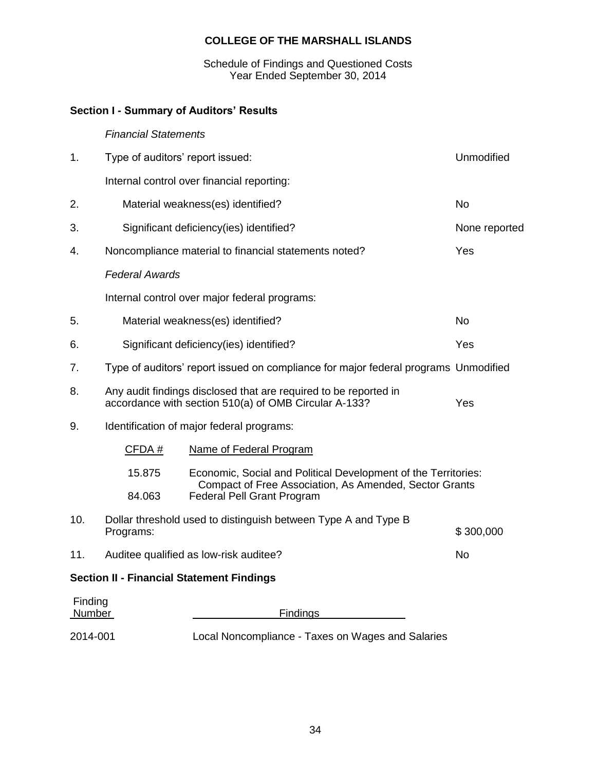Schedule of Findings and Questioned Costs Year Ended September 30, 2014

# **Section I - Summary of Auditors' Results**

# *Financial Statements*

| 1.                | Type of auditors' report issued:<br>Unmodified                                                                                   |                                                                                             |               |  |  |  |  |
|-------------------|----------------------------------------------------------------------------------------------------------------------------------|---------------------------------------------------------------------------------------------|---------------|--|--|--|--|
|                   | Internal control over financial reporting:                                                                                       |                                                                                             |               |  |  |  |  |
| 2.                |                                                                                                                                  | Material weakness(es) identified?                                                           | <b>No</b>     |  |  |  |  |
| 3.                |                                                                                                                                  | Significant deficiency(ies) identified?                                                     | None reported |  |  |  |  |
| 4.                |                                                                                                                                  | Noncompliance material to financial statements noted?                                       | Yes           |  |  |  |  |
|                   | <b>Federal Awards</b>                                                                                                            |                                                                                             |               |  |  |  |  |
|                   |                                                                                                                                  | Internal control over major federal programs:                                               |               |  |  |  |  |
| 5.                |                                                                                                                                  | Material weakness(es) identified?                                                           | <b>No</b>     |  |  |  |  |
| 6.                | Significant deficiency(ies) identified?<br>Yes                                                                                   |                                                                                             |               |  |  |  |  |
| 7.                | Type of auditors' report issued on compliance for major federal programs Unmodified                                              |                                                                                             |               |  |  |  |  |
| 8.                | Any audit findings disclosed that are required to be reported in<br>accordance with section 510(a) of OMB Circular A-133?<br>Yes |                                                                                             |               |  |  |  |  |
| 9.                |                                                                                                                                  | Identification of major federal programs:                                                   |               |  |  |  |  |
|                   | CFDA #                                                                                                                           | Name of Federal Program                                                                     |               |  |  |  |  |
|                   | 15.875                                                                                                                           | Economic, Social and Political Development of the Territories:                              |               |  |  |  |  |
|                   | 84.063                                                                                                                           | Compact of Free Association, As Amended, Sector Grants<br><b>Federal Pell Grant Program</b> |               |  |  |  |  |
| 10.               | Dollar threshold used to distinguish between Type A and Type B<br>\$300,000<br>Programs:                                         |                                                                                             |               |  |  |  |  |
| 11.               | <b>No</b><br>Auditee qualified as low-risk auditee?                                                                              |                                                                                             |               |  |  |  |  |
|                   |                                                                                                                                  | <b>Section II - Financial Statement Findings</b>                                            |               |  |  |  |  |
| Finding<br>Number |                                                                                                                                  | Findings                                                                                    |               |  |  |  |  |

2014-001 Local Noncompliance - Taxes on Wages and Salaries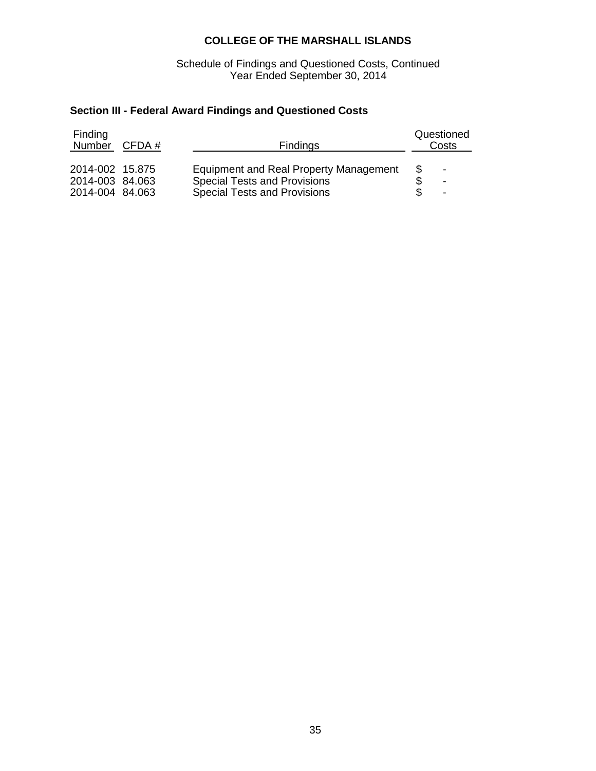Schedule of Findings and Questioned Costs, Continued Year Ended September 30, 2014

# **Section III - Federal Award Findings and Questioned Costs**

| Finding<br>Number                                     | CFDA# | <b>Findings</b>                                                                                                      | Questioned<br>Costs                                |
|-------------------------------------------------------|-------|----------------------------------------------------------------------------------------------------------------------|----------------------------------------------------|
| 2014-002 15.875<br>2014-003 84.063<br>2014-004 84.063 |       | Equipment and Real Property Management<br><b>Special Tests and Provisions</b><br><b>Special Tests and Provisions</b> | $\blacksquare$<br>$\blacksquare$<br>$\blacksquare$ |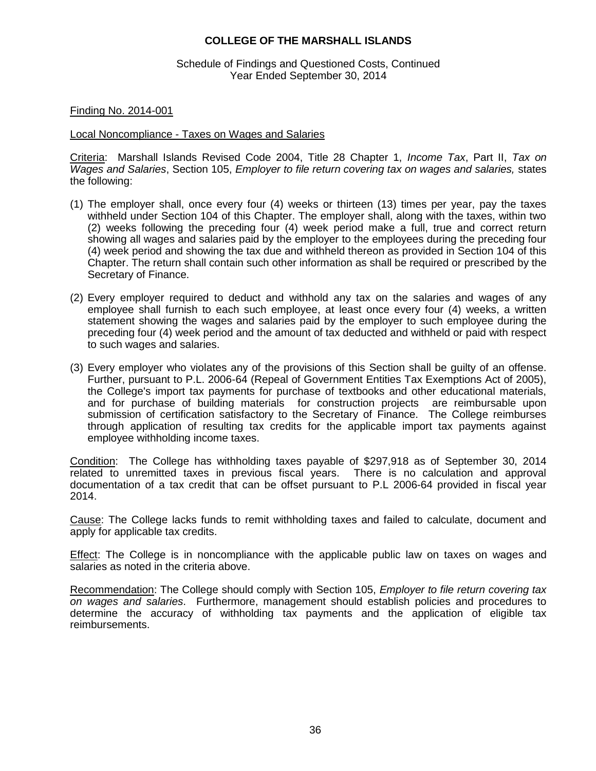Schedule of Findings and Questioned Costs, Continued Year Ended September 30, 2014

Finding No. 2014-001

#### Local Noncompliance - Taxes on Wages and Salaries

Criteria: Marshall Islands Revised Code 2004, Title 28 Chapter 1, *Income Tax*, Part II, *Tax on Wages and Salaries*, Section 105, *Employer to file return covering tax on wages and salaries,* states the following:

- (1) The employer shall, once every four (4) weeks or thirteen (13) times per year, pay the taxes withheld under Section 104 of this Chapter. The employer shall, along with the taxes, within two (2) weeks following the preceding four (4) week period make a full, true and correct return showing all wages and salaries paid by the employer to the employees during the preceding four (4) week period and showing the tax due and withheld thereon as provided in Section 104 of this Chapter. The return shall contain such other information as shall be required or prescribed by the Secretary of Finance.
- (2) Every employer required to deduct and withhold any tax on the salaries and wages of any employee shall furnish to each such employee, at least once every four (4) weeks, a written statement showing the wages and salaries paid by the employer to such employee during the preceding four (4) week period and the amount of tax deducted and withheld or paid with respect to such wages and salaries.
- (3) Every employer who violates any of the provisions of this Section shall be guilty of an offense. Further, pursuant to P.L. 2006-64 (Repeal of Government Entities Tax Exemptions Act of 2005), the College's import tax payments for purchase of textbooks and other educational materials, and for purchase of building materials for construction projects are reimbursable upon submission of certification satisfactory to the Secretary of Finance. The College reimburses through application of resulting tax credits for the applicable import tax payments against employee withholding income taxes.

Condition: The College has withholding taxes payable of \$297,918 as of September 30, 2014 related to unremitted taxes in previous fiscal years. There is no calculation and approval documentation of a tax credit that can be offset pursuant to P.L 2006-64 provided in fiscal year 2014.

Cause: The College lacks funds to remit withholding taxes and failed to calculate, document and apply for applicable tax credits.

Effect: The College is in noncompliance with the applicable public law on taxes on wages and salaries as noted in the criteria above.

Recommendation: The College should comply with Section 105, *Employer to file return covering tax on wages and salaries*. Furthermore, management should establish policies and procedures to determine the accuracy of withholding tax payments and the application of eligible tax reimbursements.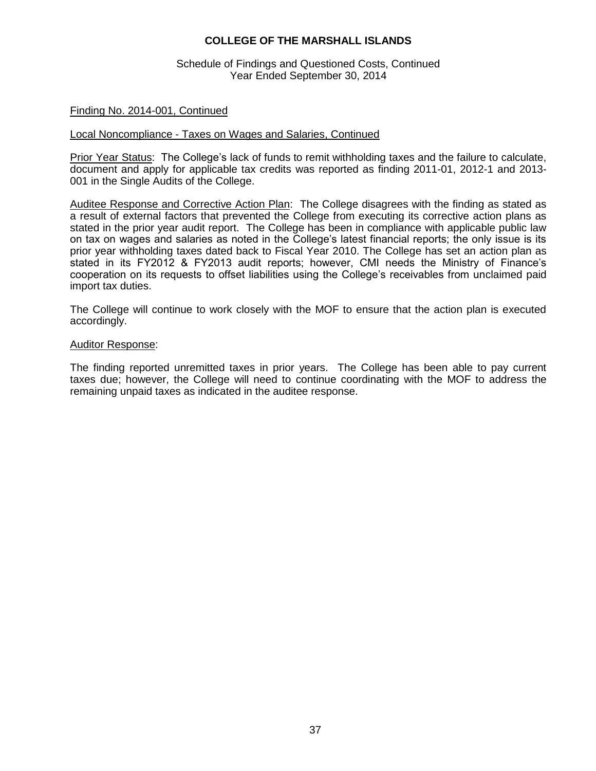### Schedule of Findings and Questioned Costs, Continued Year Ended September 30, 2014

### Finding No. 2014-001, Continued

#### Local Noncompliance - Taxes on Wages and Salaries, Continued

Prior Year Status: The College's lack of funds to remit withholding taxes and the failure to calculate, document and apply for applicable tax credits was reported as finding 2011-01, 2012-1 and 2013- 001 in the Single Audits of the College.

Auditee Response and Corrective Action Plan: The College disagrees with the finding as stated as a result of external factors that prevented the College from executing its corrective action plans as stated in the prior year audit report. The College has been in compliance with applicable public law on tax on wages and salaries as noted in the College's latest financial reports; the only issue is its prior year withholding taxes dated back to Fiscal Year 2010. The College has set an action plan as stated in its FY2012 & FY2013 audit reports; however, CMI needs the Ministry of Finance's cooperation on its requests to offset liabilities using the College's receivables from unclaimed paid import tax duties.

The College will continue to work closely with the MOF to ensure that the action plan is executed accordingly.

#### Auditor Response:

The finding reported unremitted taxes in prior years. The College has been able to pay current taxes due; however, the College will need to continue coordinating with the MOF to address the remaining unpaid taxes as indicated in the auditee response.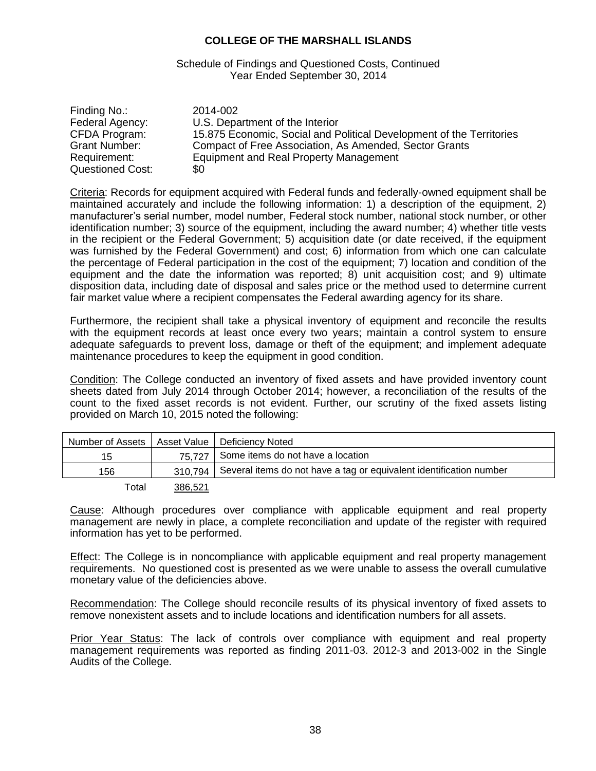Schedule of Findings and Questioned Costs, Continued Year Ended September 30, 2014

| Finding No.:            | 2014-002                                                             |
|-------------------------|----------------------------------------------------------------------|
| Federal Agency:         | U.S. Department of the Interior                                      |
| CFDA Program:           | 15.875 Economic, Social and Political Development of the Territories |
| <b>Grant Number:</b>    | Compact of Free Association, As Amended, Sector Grants               |
| Requirement:            | Equipment and Real Property Management                               |
| <b>Questioned Cost:</b> | \$0                                                                  |

Criteria: Records for equipment acquired with Federal funds and federally-owned equipment shall be maintained accurately and include the following information: 1) a description of the equipment, 2) manufacturer's serial number, model number, Federal stock number, national stock number, or other identification number; 3) source of the equipment, including the award number; 4) whether title vests in the recipient or the Federal Government; 5) acquisition date (or date received, if the equipment was furnished by the Federal Government) and cost; 6) information from which one can calculate the percentage of Federal participation in the cost of the equipment; 7) location and condition of the equipment and the date the information was reported; 8) unit acquisition cost; and 9) ultimate disposition data, including date of disposal and sales price or the method used to determine current fair market value where a recipient compensates the Federal awarding agency for its share.

Furthermore, the recipient shall take a physical inventory of equipment and reconcile the results with the equipment records at least once every two years; maintain a control system to ensure adequate safeguards to prevent loss, damage or theft of the equipment; and implement adequate maintenance procedures to keep the equipment in good condition.

Condition: The College conducted an inventory of fixed assets and have provided inventory count sheets dated from July 2014 through October 2014; however, a reconciliation of the results of the count to the fixed asset records is not evident. Further, our scrutiny of the fixed assets listing provided on March 10, 2015 noted the following:

| Number of Assets   Asset Value   Deficiency Noted |          |                                                                               |
|---------------------------------------------------|----------|-------------------------------------------------------------------------------|
| 15                                                |          | 75.727 Some items do not have a location                                      |
| 156                                               |          | 310.794   Several items do not have a tag or equivalent identification number |
|                                                   | $\cdots$ |                                                                               |

Total 386,521

Cause: Although procedures over compliance with applicable equipment and real property management are newly in place, a complete reconciliation and update of the register with required information has yet to be performed.

Effect: The College is in noncompliance with applicable equipment and real property management requirements. No questioned cost is presented as we were unable to assess the overall cumulative monetary value of the deficiencies above.

Recommendation: The College should reconcile results of its physical inventory of fixed assets to remove nonexistent assets and to include locations and identification numbers for all assets.

Prior Year Status: The lack of controls over compliance with equipment and real property management requirements was reported as finding 2011-03. 2012-3 and 2013-002 in the Single Audits of the College.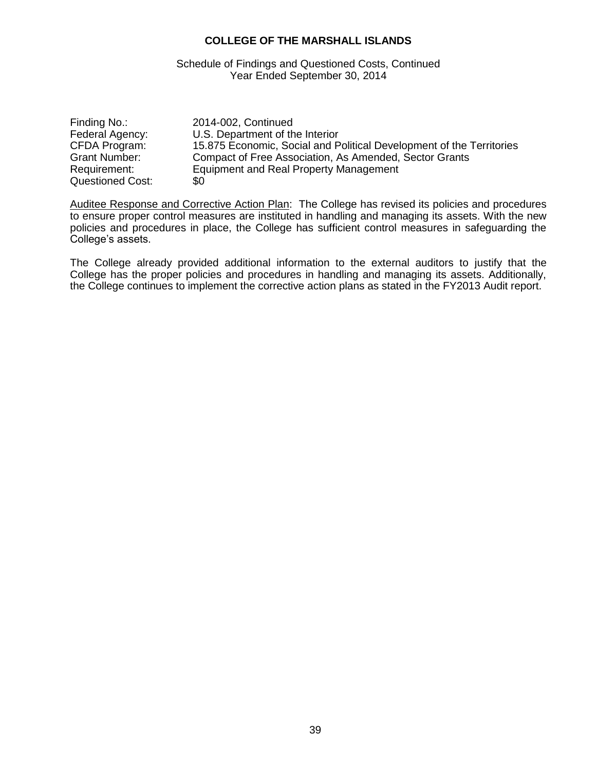Schedule of Findings and Questioned Costs, Continued Year Ended September 30, 2014

| Finding No.:            | 2014-002, Continued                                                  |
|-------------------------|----------------------------------------------------------------------|
| Federal Agency:         | U.S. Department of the Interior                                      |
| CFDA Program:           | 15.875 Economic, Social and Political Development of the Territories |
| Grant Number:           | Compact of Free Association, As Amended, Sector Grants               |
| Requirement:            | Equipment and Real Property Management                               |
| <b>Questioned Cost:</b> | \$0                                                                  |

Auditee Response and Corrective Action Plan: The College has revised its policies and procedures to ensure proper control measures are instituted in handling and managing its assets. With the new policies and procedures in place, the College has sufficient control measures in safeguarding the College's assets.

The College already provided additional information to the external auditors to justify that the College has the proper policies and procedures in handling and managing its assets. Additionally, the College continues to implement the corrective action plans as stated in the FY2013 Audit report.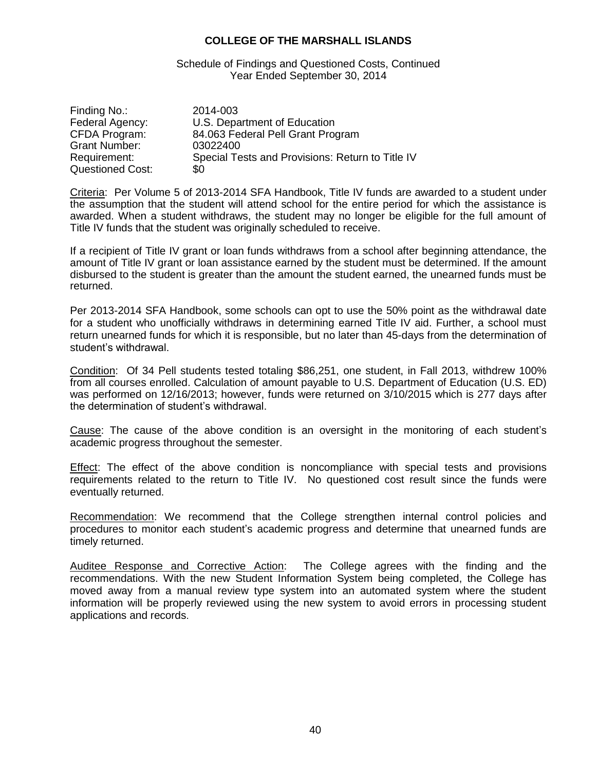Schedule of Findings and Questioned Costs, Continued Year Ended September 30, 2014

| Finding No.:            | 2014-003                                         |
|-------------------------|--------------------------------------------------|
| Federal Agency:         | U.S. Department of Education                     |
| CFDA Program:           | 84.063 Federal Pell Grant Program                |
| <b>Grant Number:</b>    | 03022400                                         |
| Requirement:            | Special Tests and Provisions: Return to Title IV |
| <b>Questioned Cost:</b> | \$0                                              |

Criteria: Per Volume 5 of 2013-2014 SFA Handbook, Title IV funds are awarded to a student under the assumption that the student will attend school for the entire period for which the assistance is awarded. When a student withdraws, the student may no longer be eligible for the full amount of Title IV funds that the student was originally scheduled to receive.

If a recipient of Title IV grant or loan funds withdraws from a school after beginning attendance, the amount of Title IV grant or loan assistance earned by the student must be determined. If the amount disbursed to the student is greater than the amount the student earned, the unearned funds must be returned.

Per 2013-2014 SFA Handbook, some schools can opt to use the 50% point as the withdrawal date for a student who unofficially withdraws in determining earned Title IV aid. Further, a school must return unearned funds for which it is responsible, but no later than 45-days from the determination of student's withdrawal.

Condition: Of 34 Pell students tested totaling \$86,251, one student, in Fall 2013, withdrew 100% from all courses enrolled. Calculation of amount payable to U.S. Department of Education (U.S. ED) was performed on 12/16/2013; however, funds were returned on 3/10/2015 which is 277 days after the determination of student's withdrawal.

Cause: The cause of the above condition is an oversight in the monitoring of each student's academic progress throughout the semester.

Effect: The effect of the above condition is noncompliance with special tests and provisions requirements related to the return to Title IV. No questioned cost result since the funds were eventually returned.

Recommendation: We recommend that the College strengthen internal control policies and procedures to monitor each student's academic progress and determine that unearned funds are timely returned.

Auditee Response and Corrective Action: The College agrees with the finding and the recommendations. With the new Student Information System being completed, the College has moved away from a manual review type system into an automated system where the student information will be properly reviewed using the new system to avoid errors in processing student applications and records.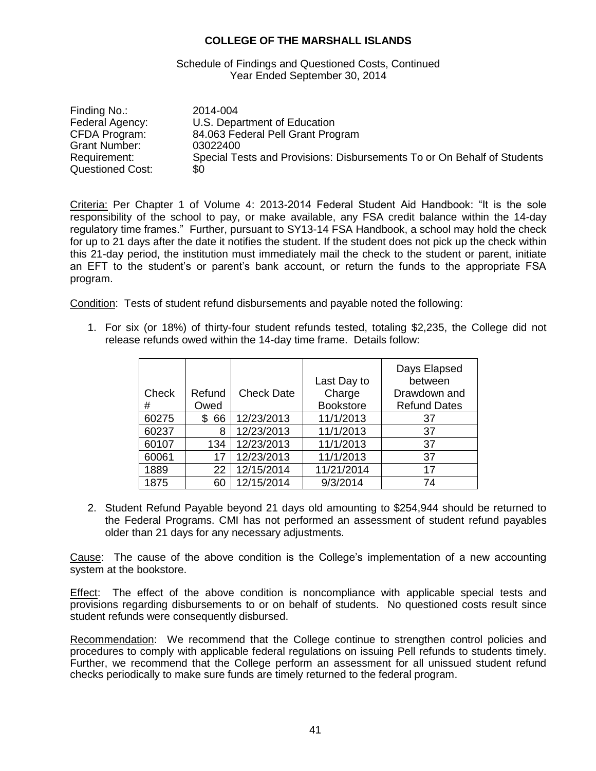Schedule of Findings and Questioned Costs, Continued Year Ended September 30, 2014

| Finding No.:            | 2014-004                                                                |
|-------------------------|-------------------------------------------------------------------------|
| Federal Agency:         | U.S. Department of Education                                            |
| CFDA Program:           | 84.063 Federal Pell Grant Program                                       |
| Grant Number:           | 03022400                                                                |
| Requirement:            | Special Tests and Provisions: Disbursements To or On Behalf of Students |
| <b>Questioned Cost:</b> | \$0                                                                     |

Criteria: Per Chapter 1 of Volume 4: 2013-2014 Federal Student Aid Handbook: "It is the sole responsibility of the school to pay, or make available, any FSA credit balance within the 14-day regulatory time frames." Further, pursuant to SY13-14 FSA Handbook, a school may hold the check for up to 21 days after the date it notifies the student. If the student does not pick up the check within this 21-day period, the institution must immediately mail the check to the student or parent, initiate an EFT to the student's or parent's bank account, or return the funds to the appropriate FSA program.

Condition: Tests of student refund disbursements and payable noted the following:

1. For six (or 18%) of thirty-four student refunds tested, totaling \$2,235, the College did not release refunds owed within the 14-day time frame. Details follow:

| Check<br># | Refund<br>Owed | <b>Check Date</b> | Last Day to<br>Charge<br><b>Bookstore</b> | Days Elapsed<br>between<br>Drawdown and<br><b>Refund Dates</b> |
|------------|----------------|-------------------|-------------------------------------------|----------------------------------------------------------------|
| 60275      | 66<br>\$.      | 12/23/2013        | 11/1/2013                                 | 37                                                             |
| 60237      | 8              | 12/23/2013        | 11/1/2013                                 | 37                                                             |
| 60107      | 134            | 12/23/2013        | 11/1/2013                                 | 37                                                             |
| 60061      | 17             | 12/23/2013        | 11/1/2013                                 | 37                                                             |
| 1889       | 22             | 12/15/2014        | 11/21/2014                                | 17                                                             |
| 1875       | 60             | 12/15/2014        | 9/3/2014                                  | 74                                                             |

2. Student Refund Payable beyond 21 days old amounting to \$254,944 should be returned to the Federal Programs. CMI has not performed an assessment of student refund payables older than 21 days for any necessary adjustments.

Cause: The cause of the above condition is the College's implementation of a new accounting system at the bookstore.

Effect: The effect of the above condition is noncompliance with applicable special tests and provisions regarding disbursements to or on behalf of students. No questioned costs result since student refunds were consequently disbursed.

Recommendation: We recommend that the College continue to strengthen control policies and procedures to comply with applicable federal regulations on issuing Pell refunds to students timely. Further, we recommend that the College perform an assessment for all unissued student refund checks periodically to make sure funds are timely returned to the federal program.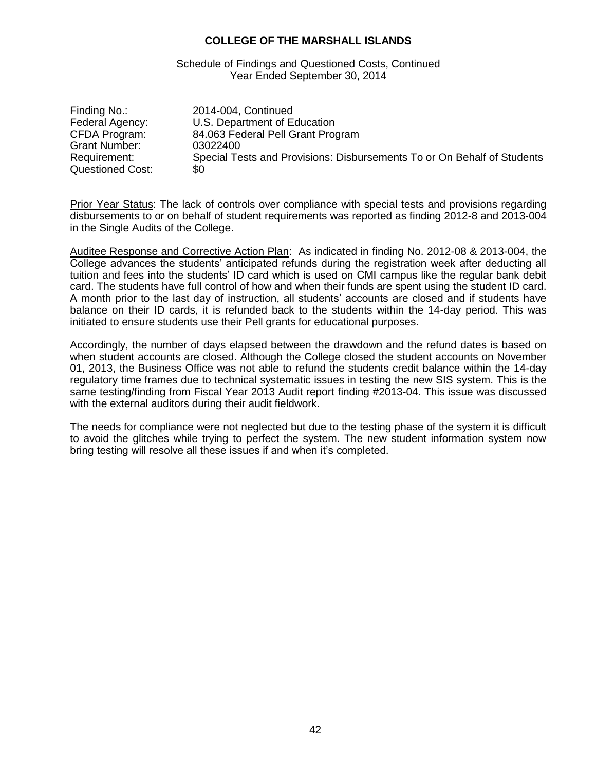Schedule of Findings and Questioned Costs, Continued Year Ended September 30, 2014

| Finding No.:            | 2014-004, Continued                                                     |
|-------------------------|-------------------------------------------------------------------------|
| Federal Agency:         | U.S. Department of Education                                            |
| CFDA Program:           | 84.063 Federal Pell Grant Program                                       |
| Grant Number:           | 03022400                                                                |
| Requirement:            | Special Tests and Provisions: Disbursements To or On Behalf of Students |
| <b>Questioned Cost:</b> | \$0                                                                     |

Prior Year Status: The lack of controls over compliance with special tests and provisions regarding disbursements to or on behalf of student requirements was reported as finding 2012-8 and 2013-004 in the Single Audits of the College.

Auditee Response and Corrective Action Plan: As indicated in finding No. 2012-08 & 2013-004, the College advances the students' anticipated refunds during the registration week after deducting all tuition and fees into the students' ID card which is used on CMI campus like the regular bank debit card. The students have full control of how and when their funds are spent using the student ID card. A month prior to the last day of instruction, all students' accounts are closed and if students have balance on their ID cards, it is refunded back to the students within the 14-day period. This was initiated to ensure students use their Pell grants for educational purposes.

Accordingly, the number of days elapsed between the drawdown and the refund dates is based on when student accounts are closed. Although the College closed the student accounts on November 01, 2013, the Business Office was not able to refund the students credit balance within the 14-day regulatory time frames due to technical systematic issues in testing the new SIS system. This is the same testing/finding from Fiscal Year 2013 Audit report finding #2013-04. This issue was discussed with the external auditors during their audit fieldwork.

The needs for compliance were not neglected but due to the testing phase of the system it is difficult to avoid the glitches while trying to perfect the system. The new student information system now bring testing will resolve all these issues if and when it's completed.